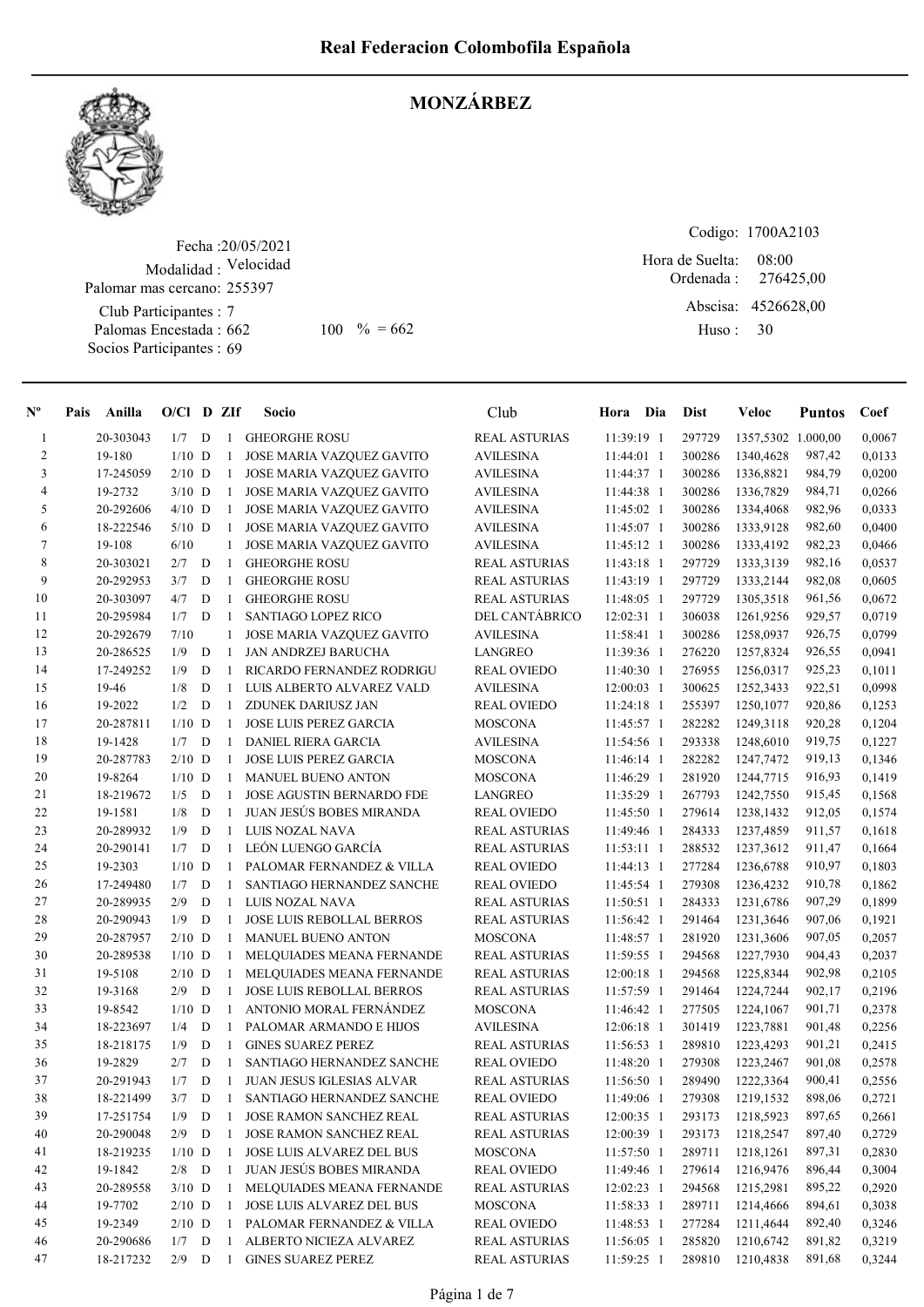

#### MONZÁRBEZ

Fecha : 20/05/2021 Modalidad : Velocidad Club Participantes : 7 Palomas Encestada : Socios Participantes : 69 Palomar mas cercano: 255397

Codigo: 1700A2103 Ordenada : Abscisa: 4526628,00 Huso : 08:00 662 100 % = 662 Huso: 30 Hora de Suelta: 276425,00

| $N^{\circ}$              | Pais Anilla | $O/Cl$ D ZIf |          |   |                | Socio                            | Club                 | Hora Dia     | <b>Dist</b> | Veloc              | <b>Puntos</b> | Coef   |
|--------------------------|-------------|--------------|----------|---|----------------|----------------------------------|----------------------|--------------|-------------|--------------------|---------------|--------|
| $\mathbf{1}$             | 20-303043   | 1/7          |          | D |                | 1 GHEORGHE ROSU                  | <b>REAL ASTURIAS</b> | 11:39:19 1   | 297729      | 1357,5302 1.000,00 |               | 0,0067 |
| $\sqrt{2}$               | 19-180      |              | $1/10$ D |   | -1             | JOSE MARIA VAZQUEZ GAVITO        | <b>AVILESINA</b>     | $11:44:01$ 1 | 300286      | 1340,4628          | 987,42        | 0,0133 |
| 3                        | 17-245059   |              | $2/10$ D |   | $\mathbf{1}$   | JOSE MARIA VAZQUEZ GAVITO        | <b>AVILESINA</b>     | 11:44:37 1   | 300286      | 1336,8821          | 984,79        | 0,0200 |
| $\overline{\mathcal{A}}$ | 19-2732     |              | $3/10$ D |   | $\mathbf{1}$   | <b>JOSE MARIA VAZQUEZ GAVITO</b> | <b>AVILESINA</b>     | 11:44:38 1   | 300286      | 1336,7829          | 984,71        | 0,0266 |
| 5                        | 20-292606   |              | $4/10$ D |   | -1             | JOSE MARIA VAZQUEZ GAVITO        | <b>AVILESINA</b>     | 11:45:02 1   | 300286      | 1334,4068          | 982,96        | 0,0333 |
| 6                        | 18-222546   |              | $5/10$ D |   | $\mathbf{1}$   | JOSE MARIA VAZQUEZ GAVITO        | <b>AVILESINA</b>     | 11:45:07 1   | 300286      | 1333,9128          | 982,60        | 0,0400 |
| $\tau$                   | 19-108      | 6/10         |          |   | $\mathbf{1}$   | JOSE MARIA VAZQUEZ GAVITO        | <b>AVILESINA</b>     | 11:45:12 1   | 300286      | 1333,4192          | 982,23        | 0,0466 |
| $\,$ 8 $\,$              | 20-303021   | 2/7          |          | D | -1             | <b>GHEORGHE ROSU</b>             | <b>REAL ASTURIAS</b> | 11:43:18 1   | 297729      | 1333,3139          | 982,16        | 0,0537 |
| 9                        | 20-292953   | 3/7          |          | D | -1             | <b>GHEORGHE ROSU</b>             | <b>REAL ASTURIAS</b> | 11:43:19 1   | 297729      | 1333,2144          | 982,08        | 0,0605 |
| 10                       | 20-303097   | 4/7          |          | D | -1             | <b>GHEORGHE ROSU</b>             | <b>REAL ASTURIAS</b> | 11:48:05 1   | 297729      | 1305,3518          | 961,56        | 0,0672 |
| 11                       | 20-295984   | 1/7          |          | D | -1             | <b>SANTIAGO LOPEZ RICO</b>       | DEL CANTÁBRICO       | 12:02:31 1   | 306038      | 1261,9256          | 929,57        | 0,0719 |
| 12                       | 20-292679   | 7/10         |          |   | 1              | JOSE MARIA VAZQUEZ GAVITO        | <b>AVILESINA</b>     | 11:58:41 1   | 300286      | 1258,0937          | 926,75        | 0,0799 |
| 13                       | 20-286525   | 1/9          |          | D | -1             | JAN ANDRZEJ BARUCHA              | <b>LANGREO</b>       | 11:39:36 1   | 276220      | 1257,8324          | 926,55        | 0,0941 |
| 14                       | 17-249252   | 1/9          |          | D | -1             | RICARDO FERNANDEZ RODRIGU        | <b>REAL OVIEDO</b>   | 11:40:30 1   | 276955      | 1256,0317          | 925,23        | 0,1011 |
| 15                       | 19-46       | 1/8          |          | D | -1             | LUIS ALBERTO ALVAREZ VALD        | <b>AVILESINA</b>     | 12:00:03 1   | 300625      | 1252,3433          | 922,51        | 0,0998 |
| 16                       | 19-2022     | 1/2          |          | D | -1             | ZDUNEK DARIUSZ JAN               | <b>REAL OVIEDO</b>   | 11:24:18 1   | 255397      | 1250,1077          | 920,86        | 0,1253 |
| 17                       | 20-287811   |              | $1/10$ D |   | -1             | <b>JOSE LUIS PEREZ GARCIA</b>    | <b>MOSCONA</b>       | 11:45:57 1   | 282282      | 1249,3118          | 920,28        | 0,1204 |
| 18                       | 19-1428     | 1/7          |          | D | -1             | <b>DANIEL RIERA GARCIA</b>       | <b>AVILESINA</b>     | 11:54:56 1   | 293338      | 1248,6010          | 919,75        | 0,1227 |
| 19                       | 20-287783   |              | $2/10$ D |   | $\overline{1}$ | <b>JOSE LUIS PEREZ GARCIA</b>    | <b>MOSCONA</b>       | 11:46:14 1   | 282282      | 1247,7472          | 919,13        | 0,1346 |
| 20                       | 19-8264     |              | $1/10$ D |   |                | 1 MANUEL BUENO ANTON             | MOSCONA              | 11:46:29 1   | 281920      | 1244,7715          | 916,93        | 0,1419 |
| 21                       | 18-219672   | 1/5          |          | D | -1             | <b>JOSE AGUSTIN BERNARDO FDE</b> | LANGREO              | 11:35:29 1   | 267793      | 1242,7550          | 915,45        | 0,1568 |
| $22\,$                   | 19-1581     | 1/8          |          | D | $\mathbf{1}$   | JUAN JESÚS BOBES MIRANDA         | <b>REAL OVIEDO</b>   | 11:45:50 1   | 279614      | 1238,1432          | 912,05        | 0,1574 |
| 23                       | 20-289932   | 1/9          |          | D | -1             | LUIS NOZAL NAVA                  | <b>REAL ASTURIAS</b> | 11:49:46 1   | 284333      | 1237,4859          | 911,57        | 0,1618 |
| 24                       | 20-290141   | 1/7          |          | D | -1             | LEÓN LUENGO GARCÍA               | <b>REAL ASTURIAS</b> | $11:53:11$ 1 | 288532      | 1237,3612          | 911,47        | 0,1664 |
| 25                       | 19-2303     |              | $1/10$ D |   | $\mathbf{1}$   | PALOMAR FERNANDEZ & VILLA        | <b>REAL OVIEDO</b>   | 11:44:13 1   | 277284      | 1236,6788          | 910,97        | 0,1803 |
| 26                       | 17-249480   | 1/7          |          | D | -1             | SANTIAGO HERNANDEZ SANCHE        | <b>REAL OVIEDO</b>   | 11:45:54 1   | 279308      | 1236,4232          | 910,78        | 0,1862 |
| $27\,$                   | 20-289935   | 2/9          |          | D | -1             | LUIS NOZAL NAVA                  | <b>REAL ASTURIAS</b> | 11:50:51 1   | 284333      | 1231,6786          | 907,29        | 0,1899 |
| 28                       | 20-290943   | 1/9          |          | D | -1             | <b>JOSE LUIS REBOLLAL BERROS</b> | <b>REAL ASTURIAS</b> | 11:56:42 1   | 291464      | 1231,3646          | 907,06        | 0,1921 |
| 29                       | 20-287957   |              | $2/10$ D |   | -1             | <b>MANUEL BUENO ANTON</b>        | <b>MOSCONA</b>       | 11:48:57 1   | 281920      | 1231,3606          | 907,05        | 0,2057 |
| 30                       | 20-289538   |              | $1/10$ D |   | -1             | MELQUIADES MEANA FERNANDE        | <b>REAL ASTURIAS</b> | 11:59:55 1   | 294568      | 1227,7930          | 904,43        | 0,2037 |
| 31                       | 19-5108     |              | $2/10$ D |   | -1             | MELQUIADES MEANA FERNANDE        | <b>REAL ASTURIAS</b> | 12:00:18 1   | 294568      | 1225,8344          | 902,98        | 0,2105 |
| 32                       | 19-3168     | 2/9          |          | D | $\,$ 1 $\,$    | JOSE LUIS REBOLLAL BERROS        | <b>REAL ASTURIAS</b> | 11:57:59 1   | 291464      | 1224,7244          | 902,17        | 0,2196 |
| 33                       | 19-8542     |              | $1/10$ D |   |                | 1 ANTONIO MORAL FERNANDEZ        | MOSCONA              | 11:46:42 1   | 277505      | 1224,1067          | 901,71        | 0,2378 |
| 34                       | 18-223697   | 1/4          |          | D | -1             | PALOMAR ARMANDO E HIJOS          | <b>AVILESINA</b>     | 12:06:18 1   | 301419      | 1223,7881          | 901,48        | 0,2256 |
| 35                       | 18-218175   | 1/9          |          | D | -1             | <b>GINES SUAREZ PEREZ</b>        | <b>REAL ASTURIAS</b> | 11:56:53 1   | 289810      | 1223,4293          | 901,21        | 0,2415 |
| 36                       | 19-2829     | 2/7          |          | D | -1             | SANTIAGO HERNANDEZ SANCHE        | <b>REAL OVIEDO</b>   | 11:48:20 1   | 279308      | 1223,2467          | 901,08        | 0,2578 |
| 37                       | 20-291943   | 1/7          |          | D | -1             | <b>JUAN JESUS IGLESIAS ALVAR</b> | <b>REAL ASTURIAS</b> | 11:56:50 1   | 289490      | 1222,3364          | 900,41        | 0,2556 |
| 38                       | 18-221499   | 3/7          |          | D | - 1            | SANTIAGO HERNANDEZ SANCHE        | <b>REAL OVIEDO</b>   | 11:49:06 1   | 279308      | 1219,1532          | 898,06        | 0,2721 |
| 39                       | 17-251754   | 1/9          |          | D | -1             | <b>JOSE RAMON SANCHEZ REAL</b>   | <b>REAL ASTURIAS</b> | 12:00:35 1   | 293173      | 1218,5923          | 897,65        | 0,2661 |
| 40                       | 20-290048   | 2/9          |          | D | -1             | <b>JOSE RAMON SANCHEZ REAL</b>   | <b>REAL ASTURIAS</b> | 12:00:39 1   | 293173      | 1218,2547          | 897,40        | 0,2729 |
| 41                       | 18-219235   |              | $1/10$ D |   | -1             | JOSE LUIS ALVAREZ DEL BUS        | <b>MOSCONA</b>       | 11:57:50 1   | 289711      | 1218,1261          | 897,31        | 0,2830 |
| 42                       | 19-1842     |              | $2/8$ D  |   | $\,$ 1 $\,$    | JUAN JESÚS BOBES MIRANDA         | <b>REAL OVIEDO</b>   | 11:49:46 1   | 279614      | 1216,9476          | 896,44        | 0,3004 |
| 43                       | 20-289558   |              | $3/10$ D |   | $\mathbf{1}$   | MELQUIADES MEANA FERNANDE        | <b>REAL ASTURIAS</b> | 12:02:23 1   | 294568      | 1215,2981          | 895,22        | 0,2920 |
| 44                       | 19-7702     |              | $2/10$ D |   | $\mathbf{1}$   | JOSE LUIS ALVAREZ DEL BUS        | <b>MOSCONA</b>       | 11:58:33 1   | 289711      | 1214,4666          | 894,61        | 0,3038 |
| 45                       | 19-2349     |              | $2/10$ D |   |                | 1 PALOMAR FERNANDEZ & VILLA      | <b>REAL OVIEDO</b>   | 11:48:53 1   | 277284      | 1211,4644          | 892,40        | 0,3246 |
| 46                       | 20-290686   |              | $1/7$ D  |   | -1             | ALBERTO NICIEZA ALVAREZ          | <b>REAL ASTURIAS</b> | 11:56:05 1   | 285820      | 1210,6742          | 891,82        | 0,3219 |
| 47                       | 18-217232   |              | $2/9$ D  |   | $\mathbf{1}$   | <b>GINES SUAREZ PEREZ</b>        | <b>REAL ASTURIAS</b> | 11:59:25 1   | 289810      | 1210,4838          | 891,68        | 0,3244 |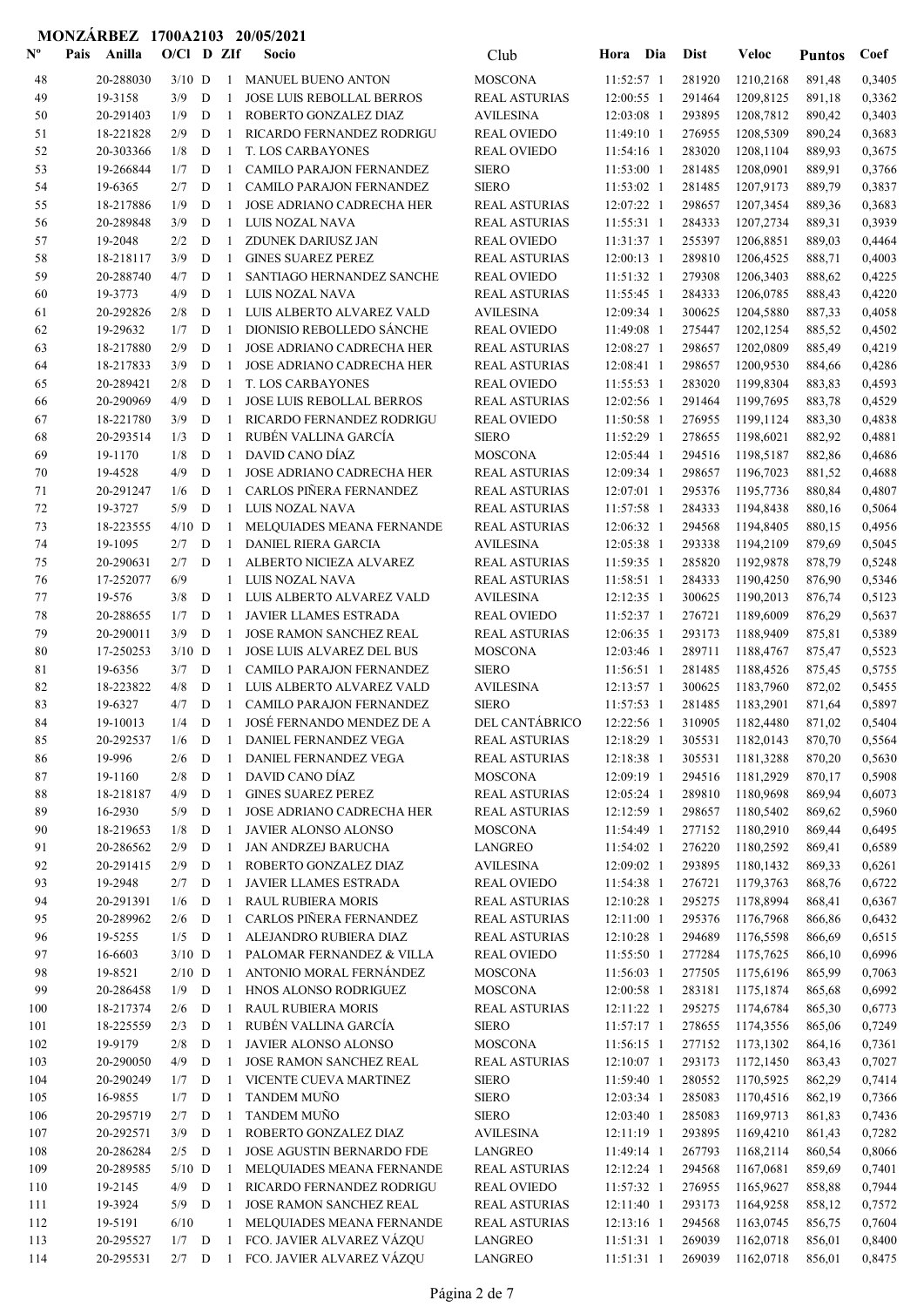| $\mathbf{N}^{\mathbf{o}}$ | Pais<br>Anilla         | $O/Cl$ D ZIf    |                  |                              | Socio                                                       | Club                                         | Hora                     | Dia        | <b>Dist</b>      | Veloc                  | <b>Puntos</b>    | Coef             |
|---------------------------|------------------------|-----------------|------------------|------------------------------|-------------------------------------------------------------|----------------------------------------------|--------------------------|------------|------------------|------------------------|------------------|------------------|
| 48                        | 20-288030              | $3/10$ D        |                  | $\mathbf{1}$                 | <b>MANUEL BUENO ANTON</b>                                   | <b>MOSCONA</b>                               | $11:52:57$ 1             |            | 281920           | 1210,2168              | 891,48           | 0,3405           |
| 49                        | 19-3158                | 3/9             | D                | -1                           | JOSE LUIS REBOLLAL BERROS                                   | <b>REAL ASTURIAS</b>                         | 12:00:55 1               |            | 291464           | 1209,8125              | 891,18           | 0,3362           |
| 50                        | 20-291403              | 1/9             | D                | -1                           | ROBERTO GONZALEZ DIAZ                                       | <b>AVILESINA</b>                             | 12:03:08 1               |            | 293895           | 1208,7812              | 890,42           | 0,3403           |
| 51                        | 18-221828              | 2/9             | D                | $\mathbf{1}$                 | RICARDO FERNANDEZ RODRIGU                                   | <b>REAL OVIEDO</b>                           | 11:49:10 1               |            | 276955           | 1208,5309              | 890,24           | 0,3683           |
| 52                        | 20-303366              | 1/8             | D                | 1                            | <b>T. LOS CARBAYONES</b>                                    | <b>REAL OVIEDO</b>                           | 11:54:16 1               |            | 283020           | 1208,1104              | 889,93           | 0,3675           |
| 53                        | 19-266844              | 1/7             | D                | $\mathbf{1}$                 | CAMILO PARAJON FERNANDEZ                                    | <b>SIERO</b>                                 | 11:53:00 1               |            | 281485           | 1208,0901              | 889,91           | 0,3766           |
| 54                        | 19-6365                | 2/7             | D                | $\mathbf{1}$                 | CAMILO PARAJON FERNANDEZ                                    | <b>SIERO</b>                                 | $11:53:02$ 1             |            | 281485           | 1207,9173              | 889,79           | 0,3837           |
| 55                        | 18-217886              | 1/9             | D                | $\mathbf{1}$                 | <b>JOSE ADRIANO CADRECHA HER</b>                            | <b>REAL ASTURIAS</b>                         | 12:07:22 1               |            | 298657           | 1207,3454              | 889,36           | 0,3683           |
| 56                        | 20-289848              | 3/9             | D                | $\mathbf{1}$                 | LUIS NOZAL NAVA                                             | <b>REAL ASTURIAS</b>                         | 11:55:31 1               |            | 284333           | 1207,2734              | 889,31           | 0,3939           |
| 57                        | 19-2048                | 2/2             | D                | 1                            | ZDUNEK DARIUSZ JAN                                          | <b>REAL OVIEDO</b>                           | 11:31:37 1               |            | 255397           | 1206,8851              | 889,03           | 0,4464           |
| 58                        | 18-218117              | 3/9             | D                | $\mathbf{1}$                 | <b>GINES SUAREZ PEREZ</b>                                   | <b>REAL ASTURIAS</b>                         | 12:00:13 1               |            | 289810           | 1206,4525              | 888,71           | 0,4003           |
| 59                        | 20-288740              | 4/7             | D                | $\mathbf{1}$                 | SANTIAGO HERNANDEZ SANCHE                                   | <b>REAL OVIEDO</b>                           | 11:51:32 1               |            | 279308           | 1206,3403              | 888,62           | 0,4225           |
| 60                        | 19-3773                | 4/9             | $\mathbf D$      | $\mathbf{1}$                 | LUIS NOZAL NAVA                                             | <b>REAL ASTURIAS</b>                         | $11:55:45$ 1             |            | 284333           | 1206,0785              | 888,43           | 0,4220           |
| 61                        | 20-292826<br>19-29632  | 2/8<br>1/7      | D<br>$\mathbf D$ | 1<br>$\mathbf{1}$            | LUIS ALBERTO ALVAREZ VALD<br>DIONISIO REBOLLEDO SÁNCHE      | <b>AVILESINA</b><br><b>REAL OVIEDO</b>       | 12:09:34 1<br>11:49:08 1 |            | 300625<br>275447 | 1204,5880<br>1202,1254 | 887,33<br>885,52 | 0,4058<br>0,4502 |
| 62<br>63                  | 18-217880              | 2/9             | $\mathbf D$      | 1                            | JOSE ADRIANO CADRECHA HER                                   | <b>REAL ASTURIAS</b>                         | 12:08:27 1               |            | 298657           | 1202,0809              | 885,49           | 0,4219           |
| 64                        | 18-217833              | 3/9             | D                | $\mathbf{1}$                 | JOSE ADRIANO CADRECHA HER                                   | <b>REAL ASTURIAS</b>                         | 12:08:41 1               |            | 298657           | 1200,9530              | 884,66           | 0,4286           |
| 65                        | 20-289421              | 2/8             | D                | $\mathbf{1}$                 | <b>T. LOS CARBAYONES</b>                                    | <b>REAL OVIEDO</b>                           | 11:55:53 1               |            | 283020           | 1199,8304              | 883,83           | 0,4593           |
| 66                        | 20-290969              | 4/9             | D                | $\mathbf{1}$                 | JOSE LUIS REBOLLAL BERROS                                   | <b>REAL ASTURIAS</b>                         | 12:02:56 1               |            | 291464           | 1199,7695              | 883,78           | 0,4529           |
| 67                        | 18-221780              | 3/9             | D                | $\mathbf{1}$                 | RICARDO FERNANDEZ RODRIGU                                   | <b>REAL OVIEDO</b>                           | 11:50:58 1               |            | 276955           | 1199,1124              | 883,30           | 0,4838           |
| 68                        | 20-293514              | 1/3             | D                | $\mathbf{1}$                 | RUBÉN VALLINA GARCÍA                                        | <b>SIERO</b>                                 | 11:52:29 1               |            | 278655           | 1198,6021              | 882,92           | 0,4881           |
| 69                        | 19-1170                | 1/8             | D                | $\mathbf{1}$                 | DAVID CANO DÍAZ                                             | <b>MOSCONA</b>                               | 12:05:44 1               |            | 294516           | 1198,5187              | 882,86           | 0,4686           |
| 70                        | 19-4528                | 4/9             | D                | $\mathbf{1}$                 | JOSE ADRIANO CADRECHA HER                                   | <b>REAL ASTURIAS</b>                         | 12:09:34 1               |            | 298657           | 1196,7023              | 881,52           | 0,4688           |
| 71                        | 20-291247              | 1/6             | D                | $\mathbf{1}$                 | CARLOS PIÑERA FERNANDEZ                                     | <b>REAL ASTURIAS</b>                         | 12:07:01 1               |            | 295376           | 1195,7736              | 880,84           | 0,4807           |
| 72                        | 19-3727                | 5/9             | D                | $\mathbf{1}$                 | LUIS NOZAL NAVA                                             | <b>REAL ASTURIAS</b>                         | $11:57:58$ 1             |            | 284333           | 1194,8438              | 880,16           | 0,5064           |
| 73                        | 18-223555              | $4/10$ D        |                  | -1                           | MELQUIADES MEANA FERNANDE                                   | <b>REAL ASTURIAS</b>                         | 12:06:32 1               |            | 294568           | 1194,8405              | 880,15           | 0,4956           |
| 74                        | 19-1095                | 2/7             | D                | 1                            | <b>DANIEL RIERA GARCIA</b>                                  | <b>AVILESINA</b>                             | 12:05:38 1               |            | 293338           | 1194,2109              | 879,69           | 0,5045           |
| 75                        | 20-290631              | 2/7             | D                | -1                           | ALBERTO NICIEZA ALVAREZ                                     | <b>REAL ASTURIAS</b>                         | 11:59:35 1               |            | 285820           | 1192,9878              | 878,79           | 0,5248           |
| 76                        | 17-252077              | 6/9             |                  | $\mathbf{1}$                 | LUIS NOZAL NAVA                                             | <b>REAL ASTURIAS</b>                         | 11:58:51 1               |            | 284333           | 1190,4250              | 876,90           | 0,5346           |
| 77                        | 19-576                 | 3/8             | D                | $\mathbf{1}$                 | LUIS ALBERTO ALVAREZ VALD                                   | <b>AVILESINA</b>                             | 12:12:35 1               |            | 300625           | 1190,2013              | 876,74           | 0,5123           |
| 78                        | 20-288655              | 1/7             | D                | $\mathbf{1}$                 | <b>JAVIER LLAMES ESTRADA</b>                                | <b>REAL OVIEDO</b>                           | 11:52:37 1               |            | 276721           | 1189,6009              | 876,29           | 0,5637           |
| 79<br>80                  | 20-290011<br>17-250253 | 3/9<br>$3/10$ D | D                | $\mathbf{1}$<br>$\mathbf{1}$ | <b>JOSE RAMON SANCHEZ REAL</b><br>JOSE LUIS ALVAREZ DEL BUS | <b>REAL ASTURIAS</b><br><b>MOSCONA</b>       | 12:06:35 1<br>12:03:46 1 |            | 293173<br>289711 | 1188,9409<br>1188,4767 | 875,81<br>875,47 | 0,5389<br>0,5523 |
| 81                        | 19-6356                | 3/7             | D                | $\mathbf{1}$                 | <b>CAMILO PARAJON FERNANDEZ</b>                             | <b>SIERO</b>                                 | 11:56:51 1               |            | 281485           | 1188,4526              | 875,45           | 0,5755           |
| 82                        | 18-223822              | 4/8             | D                | $\mathbf{1}$                 | LUIS ALBERTO ALVAREZ VALD                                   | <b>AVILESINA</b>                             | 12:13:57 1               |            | 300625           | 1183,7960              | 872,02           | 0,5455           |
| 83                        | 19-6327                | 4/7             | D                | $\mathbf{1}$                 | <b>CAMILO PARAJON FERNANDEZ</b>                             | <b>SIERO</b>                                 | 11:57:53 1               |            | 281485           | 1183,2901              | 871,64           | 0,5897           |
| 84                        | 19-10013               | 1/4             | D                | $\mathbf{1}$                 | JOSÉ FERNANDO MENDEZ DE A                                   | DEL CANTÁBRICO                               | 12:22:56 1               |            | 310905           | 1182,4480              | 871,02           | 0,5404           |
| 85                        | 20-292537              |                 |                  |                              | 1/6 D 1 DANIEL FERNANDEZ VEGA                               | <b>REAL ASTURIAS</b>                         |                          | 12:18:29 1 |                  | 305531 1182,0143       | 870,70           | 0,5564           |
| 86                        | 19-996                 | 2/6             | D                | 1                            | DANIEL FERNANDEZ VEGA                                       | <b>REAL ASTURIAS</b>                         | 12:18:38 1               |            | 305531           | 1181,3288              | 870,20           | 0,5630           |
| 87                        | 19-1160                | 2/8             | ${\bf D}$        | $\mathbf{1}$                 | DAVID CANO DÍAZ                                             | <b>MOSCONA</b>                               | 12:09:19 1               |            | 294516           | 1181,2929              | 870,17           | 0,5908           |
| 88                        | 18-218187              | 4/9             | D                | $\mathbf{1}$                 | <b>GINES SUAREZ PEREZ</b>                                   | <b>REAL ASTURIAS</b>                         | 12:05:24 1               |            | 289810           | 1180,9698              | 869,94           | 0,6073           |
| 89                        | 16-2930                | 5/9             | D                | $\mathbf{1}$                 | JOSE ADRIANO CADRECHA HER                                   | <b>REAL ASTURIAS</b>                         | 12:12:59 1               |            | 298657           | 1180,5402              | 869,62           | 0,5960           |
| 90                        | 18-219653              | 1/8             | D                | 1                            | JAVIER ALONSO ALONSO                                        | <b>MOSCONA</b>                               | 11:54:49 1               |            | 277152           | 1180,2910              | 869,44           | 0,6495           |
| 91                        | 20-286562              | 2/9             | D                | $\mathbf{1}$                 | JAN ANDRZEJ BARUCHA                                         | LANGREO                                      | 11:54:02 1               |            | 276220           | 1180,2592              | 869,41           | 0,6589           |
| 92                        | 20-291415              | 2/9             | D                | $\mathbf{1}$                 | ROBERTO GONZALEZ DIAZ                                       | <b>AVILESINA</b>                             | 12:09:02 1               |            | 293895           | 1180,1432              | 869,33           | 0,6261           |
| 93                        | 19-2948                | 2/7             | D                | $\mathbf{1}$                 | JAVIER LLAMES ESTRADA                                       | <b>REAL OVIEDO</b>                           | 11:54:38 1               |            | 276721           | 1179,3763              | 868,76           | 0,6722           |
| 94                        | 20-291391              | 1/6             | D                | $\mathbf{1}$                 | <b>RAUL RUBIERA MORIS</b>                                   | <b>REAL ASTURIAS</b>                         | 12:10:28 1               |            | 295275           | 1178,8994              | 868,41           | 0,6367           |
| 95                        | 20-289962              | 2/6<br>$1/5$ D  | D                | $\mathbf{1}$                 | CARLOS PIÑERA FERNANDEZ<br>ALEJANDRO RUBIERA DIAZ           | <b>REAL ASTURIAS</b>                         | 12:11:00 1               |            | 295376           | 1176,7968              | 866,86           | 0,6432           |
| 96<br>97                  | 19-5255<br>16-6603     | $3/10$ D        |                  | $\mathbf{1}$<br>$\mathbf{1}$ | PALOMAR FERNANDEZ & VILLA                                   | <b>REAL ASTURIAS</b><br><b>REAL OVIEDO</b>   | 12:10:28 1<br>11:55:50 1 |            | 294689<br>277284 | 1176,5598<br>1175,7625 | 866,69<br>866,10 | 0,6515<br>0,6996 |
| 98                        | 19-8521                | $2/10$ D        |                  | 1                            | ANTONIO MORAL FERNÁNDEZ                                     | <b>MOSCONA</b>                               | 11:56:03 1               |            | 277505           | 1175,6196              | 865,99           | 0,7063           |
| 99                        | 20-286458              | 1/9             | D                | $\mathbf{1}$                 | HNOS ALONSO RODRIGUEZ                                       | <b>MOSCONA</b>                               | 12:00:58 1               |            | 283181           | 1175,1874              | 865,68           | 0,6992           |
| 100                       | 18-217374              | 2/6             | D                | $\mathbf{1}$                 | <b>RAUL RUBIERA MORIS</b>                                   | <b>REAL ASTURIAS</b>                         | 12:11:22 1               |            | 295275           | 1174,6784              | 865,30           | 0,6773           |
| 101                       | 18-225559              | 2/3             | D                | $\mathbf{1}$                 | RUBÉN VALLINA GARCÍA                                        | <b>SIERO</b>                                 | 11:57:17 1               |            | 278655           | 1174,3556              | 865,06           | 0,7249           |
| 102                       | 19-9179                | 2/8             | D                | $\mathbf{1}$                 | JAVIER ALONSO ALONSO                                        | <b>MOSCONA</b>                               | 11:56:15 1               |            | 277152           | 1173,1302              | 864,16           | 0,7361           |
| 103                       | 20-290050              | 4/9             | D                | 1                            | <b>JOSE RAMON SANCHEZ REAL</b>                              | <b>REAL ASTURIAS</b>                         | 12:10:07 1               |            | 293173           | 1172,1450              | 863,43           | 0,7027           |
| 104                       | 20-290249              | 1/7             | D                | 1                            | VICENTE CUEVA MARTINEZ                                      | <b>SIERO</b>                                 | 11:59:40 1               |            | 280552           | 1170,5925              | 862,29           | 0,7414           |
| 105                       | 16-9855                | 1/7             | D                | 1                            | TANDEM MUÑO                                                 | <b>SIERO</b>                                 | $12:03:34$ 1             |            | 285083           | 1170,4516              | 862,19           | 0,7366           |
| 106                       | 20-295719              | 2/7             | D                | 1                            | TANDEM MUÑO                                                 | <b>SIERO</b>                                 | $12:03:40$ 1             |            | 285083           | 1169,9713              | 861,83           | 0,7436           |
| 107                       | 20-292571              | 3/9             | D                | $\mathbf{1}$                 | ROBERTO GONZALEZ DIAZ                                       | <b>AVILESINA</b>                             | 12:11:19 1               |            | 293895           | 1169,4210              | 861,43           | 0,7282           |
| 108                       | 20-286284              | $2/5$ D         |                  | $\mathbf{1}$                 | JOSE AGUSTIN BERNARDO FDE                                   | <b>LANGREO</b>                               | 11:49:14 1               |            | 267793           | 1168,2114              | 860,54           | 0,8066           |
| 109                       | 20-289585              | $5/10$ D        |                  | $\mathbf{1}$                 | MELQUIADES MEANA FERNANDE                                   | <b>REAL ASTURIAS</b>                         | 12:12:24 1               |            | 294568           | 1167,0681              | 859,69           | 0,7401           |
| 110                       | 19-2145                | 4/9             | D                | $\mathbf{1}$                 | RICARDO FERNANDEZ RODRIGU                                   | <b>REAL OVIEDO</b>                           | 11:57:32 1               |            | 276955           | 1165,9627              | 858,88           | 0,7944           |
| 111                       | 19-3924<br>19-5191     | $5/9$ D<br>6/10 |                  | -1                           | JOSE RAMON SANCHEZ REAL<br>MELQUIADES MEANA FERNANDE        | <b>REAL ASTURIAS</b><br><b>REAL ASTURIAS</b> | 12:11:40 1<br>12:13:16 1 |            | 293173<br>294568 | 1164,9258<br>1163,0745 | 858,12           | 0,7572           |
| 112<br>113                | 20-295527              | $1/7$ D         |                  | $\mathbf{1}$<br>$\mathbf{1}$ | FCO. JAVIER ALVAREZ VÁZQU                                   | LANGREO                                      | 11:51:31 1               |            | 269039           | 1162,0718              | 856,75<br>856,01 | 0,7604<br>0,8400 |
| 114                       | 20-295531              | $2/7$ D         |                  |                              | 1 FCO. JAVIER ALVAREZ VÁZQU                                 | LANGREO                                      | $11:51:31$ 1             |            | 269039           | 1162,0718              | 856,01           | 0,8475           |
|                           |                        |                 |                  |                              |                                                             |                                              |                          |            |                  |                        |                  |                  |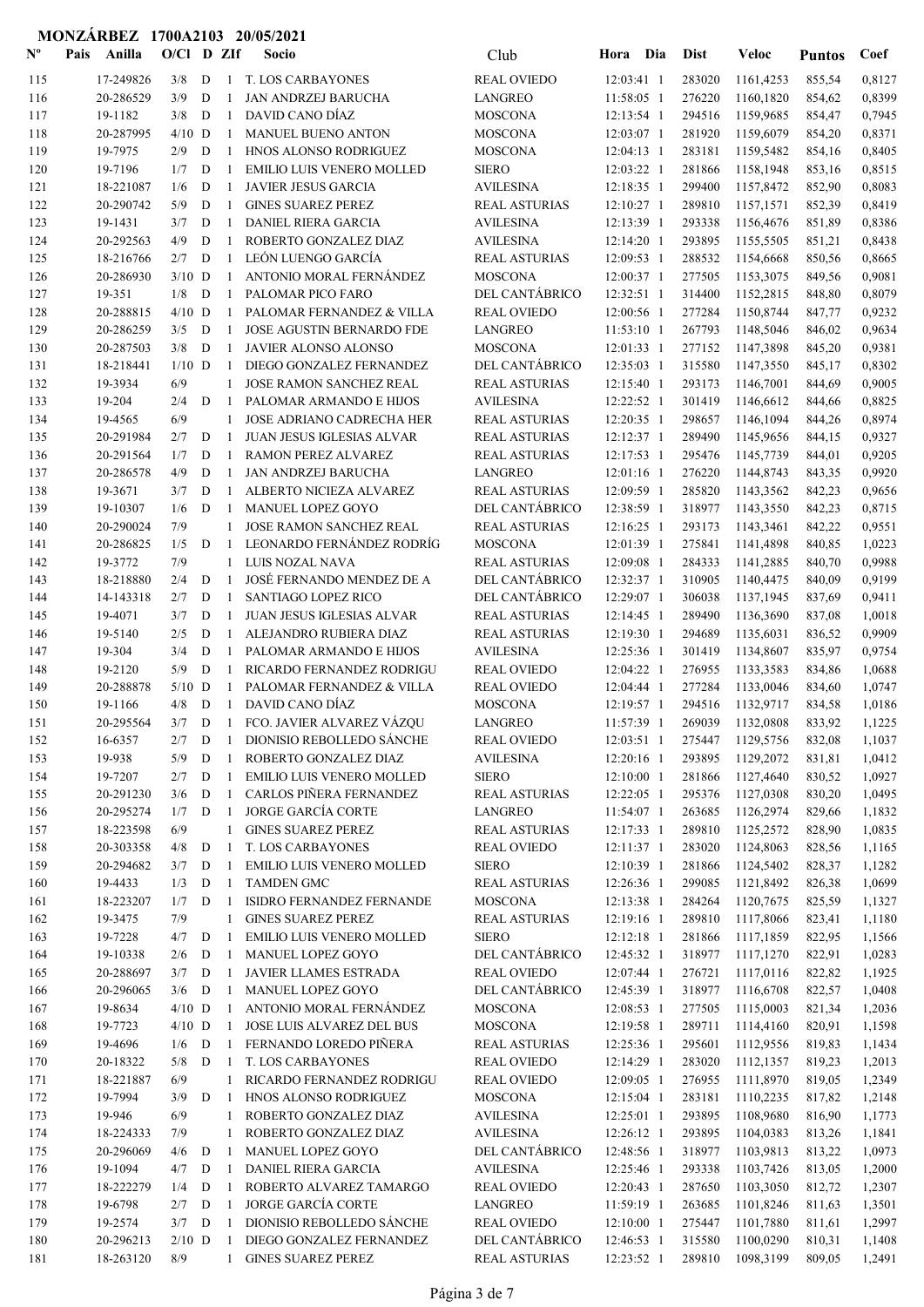| $N^{\rm o}$ | Pais | Anilla              | O/Cl D ZIf |             |                | Socio                                                       | Club                                     | Hora Dia                 | <b>Dist</b>      | Veloc                       | <b>Puntos</b>    | Coef             |
|-------------|------|---------------------|------------|-------------|----------------|-------------------------------------------------------------|------------------------------------------|--------------------------|------------------|-----------------------------|------------------|------------------|
| 115         |      | 17-249826           | 3/8        | D           | -1             | T. LOS CARBAYONES                                           | <b>REAL OVIEDO</b>                       | 12:03:41 1               | 283020           | 1161,4253                   | 855,54           | 0,8127           |
| 116         |      | 20-286529           | 3/9        | D           | -1             | <b>JAN ANDRZEJ BARUCHA</b>                                  | <b>LANGREO</b>                           | 11:58:05 1               | 276220           | 1160,1820                   | 854,62           | 0,8399           |
| 117         |      | 19-1182             | 3/8        | D           | -1             | DAVID CANO DÍAZ                                             | <b>MOSCONA</b>                           | 12:13:54 1               | 294516           | 1159,9685                   | 854,47           | 0,7945           |
| 118         |      | 20-287995           | $4/10$ D   |             | -1             | <b>MANUEL BUENO ANTON</b>                                   | <b>MOSCONA</b>                           | 12:03:07 1               | 281920           | 1159,6079                   | 854,20           | 0,8371           |
| 119         |      | 19-7975             | 2/9        | D           | -1             | HNOS ALONSO RODRIGUEZ                                       | <b>MOSCONA</b>                           | $12:04:13$ 1             | 283181           | 1159,5482                   | 854,16           | 0,8405           |
| 120         |      | 19-7196             | 1/7        | D           | -1             | <b>EMILIO LUIS VENERO MOLLED</b>                            | <b>SIERO</b>                             | 12:03:22 1               | 281866           | 1158,1948                   | 853,16           | 0,8515           |
| 121         |      | 18-221087           | 1/6        | D           | -1             | <b>JAVIER JESUS GARCIA</b>                                  | <b>AVILESINA</b>                         | 12:18:35 1               | 299400           | 1157,8472                   | 852,90           | 0,8083           |
| 122         |      | 20-290742           | 5/9        | D           | $\overline{1}$ | <b>GINES SUAREZ PEREZ</b>                                   | <b>REAL ASTURIAS</b>                     | 12:10:27 1               | 289810           | 1157,1571                   | 852,39           | 0,8419           |
| 123         |      | 19-1431             | 3/7        | D           | -1             | <b>DANIEL RIERA GARCIA</b>                                  | <b>AVILESINA</b>                         | 12:13:39 1               | 293338           | 1156,4676                   | 851,89           | 0,8386           |
| 124         |      | 20-292563           | 4/9        | D           | $\mathbf{1}$   | ROBERTO GONZALEZ DIAZ                                       | <b>AVILESINA</b>                         | 12:14:20 1               | 293895           | 1155,5505                   | 851,21           | 0,8438           |
| 125         |      | 18-216766           | 2/7        | D           | $\mathbf{1}$   | LEÓN LUENGO GARCÍA                                          | <b>REAL ASTURIAS</b>                     | 12:09:53 1               | 288532           | 1154,6668                   | 850,56           | 0,8665           |
| 126         |      | 20-286930           | $3/10$ D   |             | 1              | ANTONIO MORAL FERNÁNDEZ                                     | <b>MOSCONA</b>                           | 12:00:37 1               | 277505           | 1153,3075                   | 849,56           | 0,9081           |
| 127         |      | 19-351              | 1/8        | D           | $\overline{1}$ | PALOMAR PICO FARO                                           | DEL CANTÁBRICO                           | 12:32:51 1               | 314400           | 1152,2815                   | 848,80           | 0,8079           |
| 128         |      | 20-288815           | $4/10$ D   |             | $\mathbf{1}$   | PALOMAR FERNANDEZ & VILLA                                   | <b>REAL OVIEDO</b>                       | 12:00:56 1               | 277284           | 1150,8744                   | 847,77           | 0,9232           |
| 129         |      | 20-286259           | 3/5        | D           | $\mathbf{1}$   | <b>JOSE AGUSTIN BERNARDO FDE</b>                            | <b>LANGREO</b>                           | 11:53:10 1               | 267793           | 1148,5046                   | 846,02           | 0,9634           |
| 130         |      | 20-287503           | 3/8        | D           | -1             | JAVIER ALONSO ALONSO                                        | <b>MOSCONA</b>                           | 12:01:33 1               | 277152           | 1147,3898                   | 845,20           | 0,9381           |
| 131         |      | 18-218441           | $1/10$ D   |             | -1             | DIEGO GONZALEZ FERNANDEZ                                    | DEL CANTÁBRICO                           | 12:35:03 1               | 315580           | 1147,3550                   | 845,17           | 0,8302           |
| 132         |      | 19-3934             | 6/9<br>2/4 |             | 1              | JOSE RAMON SANCHEZ REAL                                     | <b>REAL ASTURIAS</b><br><b>AVILESINA</b> | 12:15:40 1               | 293173           | 1146,7001                   | 844,69           | 0,9005           |
| 133         |      | 19-204<br>19-4565   | 6/9        | D           | -1<br>1        | PALOMAR ARMANDO E HIJOS<br><b>JOSE ADRIANO CADRECHA HER</b> | <b>REAL ASTURIAS</b>                     | 12:22:52 1<br>12:20:35 1 | 301419<br>298657 | 1146,6612<br>1146,1094      | 844,66           | 0,8825<br>0,8974 |
| 134<br>135  |      | 20-291984           | 2/7        | D           | -1             | <b>JUAN JESUS IGLESIAS ALVAR</b>                            | <b>REAL ASTURIAS</b>                     | 12:12:37 1               | 289490           | 1145,9656                   | 844,26           | 0,9327           |
| 136         |      | 20-291564           | 1/7        | D           | $\mathbf{1}$   | <b>RAMON PEREZ ALVAREZ</b>                                  | <b>REAL ASTURIAS</b>                     | 12:17:53 1               | 295476           | 1145,7739                   | 844,15<br>844,01 | 0,9205           |
| 137         |      | 20-286578           | 4/9        | D           | $\mathbf{1}$   | <b>JAN ANDRZEJ BARUCHA</b>                                  | <b>LANGREO</b>                           | $12:01:16$ 1             | 276220           | 1144,8743                   | 843,35           | 0,9920           |
| 138         |      | 19-3671             | 3/7        | D           | 1              | ALBERTO NICIEZA ALVAREZ                                     | <b>REAL ASTURIAS</b>                     | 12:09:59 1               | 285820           | 1143,3562                   | 842,23           | 0,9656           |
| 139         |      | 19-10307            | 1/6        | D           | -1             | MANUEL LOPEZ GOYO                                           | DEL CANTÁBRICO                           | 12:38:59 1               | 318977           | 1143,3550                   | 842,23           | 0,8715           |
| 140         |      | 20-290024           | 7/9        |             | 1              | JOSE RAMON SANCHEZ REAL                                     | <b>REAL ASTURIAS</b>                     | 12:16:25 1               | 293173           | 1143,3461                   | 842,22           | 0,9551           |
| 141         |      | 20-286825           | 1/5        | D           | $\mathbf{1}$   | LEONARDO FERNÁNDEZ RODRÍG                                   | <b>MOSCONA</b>                           | 12:01:39 1               | 275841           | 1141,4898                   | 840,85           | 1,0223           |
| 142         |      | 19-3772             | 7/9        |             | $\mathbf{1}$   | LUIS NOZAL NAVA                                             | <b>REAL ASTURIAS</b>                     | 12:09:08 1               | 284333           | 1141,2885                   | 840,70           | 0,9988           |
| 143         |      | 18-218880           | 2/4        | D           | -1             | JOSÉ FERNANDO MENDEZ DE A                                   | DEL CANTÁBRICO                           | 12:32:37 1               | 310905           | 1140,4475                   | 840,09           | 0,9199           |
| 144         |      | 14-143318           | 2/7        | D           | -1             | SANTIAGO LOPEZ RICO                                         | DEL CANTÁBRICO                           | 12:29:07 1               | 306038           | 1137,1945                   | 837,69           | 0,9411           |
| 145         |      | 19-4071             | 3/7        | D           | -1             | JUAN JESUS IGLESIAS ALVAR                                   | <b>REAL ASTURIAS</b>                     | 12:14:45 1               | 289490           | 1136,3690                   | 837,08           | 1,0018           |
| 146         |      | 19-5140             | 2/5        | D           | -1             | ALEJANDRO RUBIERA DIAZ                                      | <b>REAL ASTURIAS</b>                     | 12:19:30 1               | 294689           | 1135,6031                   | 836,52           | 0,9909           |
| 147         |      | 19-304              | 3/4        | D           | -1             | PALOMAR ARMANDO E HIJOS                                     | <b>AVILESINA</b>                         | 12:25:36 1               | 301419           | 1134,8607                   | 835,97           | 0,9754           |
| 148         |      | 19-2120             | 5/9        | D           | $\mathbf{1}$   | RICARDO FERNANDEZ RODRIGU                                   | <b>REAL OVIEDO</b>                       | 12:04:22 1               | 276955           | 1133,3583                   | 834,86           | 1,0688           |
| 149         |      | 20-288878           | $5/10$ D   |             | -1             | PALOMAR FERNANDEZ & VILLA                                   | <b>REAL OVIEDO</b>                       | $12:04:44$ 1             | 277284           | 1133,0046                   | 834,60           | 1,0747           |
| 150         |      | 19-1166             | 4/8        | D           | $\overline{1}$ | DAVID CANO DÍAZ                                             | <b>MOSCONA</b>                           | 12:19:57 1               | 294516           | 1132,9717                   | 834,58           | 1,0186           |
| 151         |      | 20-295564           | 3/7        | D           |                | 1 FCO. JAVIER ALVAREZ VÁZQU                                 | <b>LANGREO</b>                           | 11:57:39 1               | 269039           | 1132,0808                   | 833,92           | 1,1225           |
| 152         |      | 16-6357             |            |             |                | 2/7 D 1 DIONISIO REBOLLEDO SÁNCHE                           | REAL OVIEDO                              |                          |                  | 12:03:51 1 275447 1129,5756 | 832,08           | 1,1037           |
| 153         |      | 19-938              | 5/9        | D           | -1             | ROBERTO GONZALEZ DIAZ                                       | <b>AVILESINA</b>                         | 12:20:16 1               | 293895           | 1129,2072                   | 831,81           | 1,0412           |
| 154         |      | 19-7207             | 2/7        | D           | -1             | EMILIO LUIS VENERO MOLLED                                   | <b>SIERO</b>                             | 12:10:00 1               | 281866           | 1127,4640                   | 830,52           | 1,0927           |
| 155         |      | 20-291230           | 3/6        | D           | -1             | CARLOS PIÑERA FERNANDEZ                                     | <b>REAL ASTURIAS</b>                     | $12:22:05$ 1             | 295376           | 1127,0308                   | 830,20           | 1,0495           |
| 156         |      | 20-295274           | 1/7        | D           | -1             | <b>JORGE GARCÍA CORTE</b>                                   | <b>LANGREO</b>                           | 11:54:07 1               | 263685           | 1126,2974                   | 829,66           | 1,1832           |
| 157         |      | 18-223598           | 6/9        |             | 1              | <b>GINES SUAREZ PEREZ</b>                                   | <b>REAL ASTURIAS</b>                     | 12:17:33 1               | 289810           | 1125,2572                   | 828,90           | 1,0835           |
| 158         |      | 20-303358           | 4/8        | $\mathbf D$ | -1             | T. LOS CARBAYONES                                           | <b>REAL OVIEDO</b>                       | $12:11:37$ 1             | 283020           | 1124,8063                   | 828,56           | 1,1165           |
| 159         |      | 20-294682           | 3/7        | D           | -1             | EMILIO LUIS VENERO MOLLED                                   | <b>SIERO</b>                             | 12:10:39 1               | 281866           | 1124,5402                   | 828,37           | 1,1282           |
| 160         |      | 19-4433             | 1/3        | D           | -1             | <b>TAMDEN GMC</b>                                           | <b>REAL ASTURIAS</b>                     | 12:26:36 1               | 299085           | 1121,8492                   | 826,38           | 1,0699           |
| 161         |      | 18-223207           | 1/7        | D           | -1             | ISIDRO FERNANDEZ FERNANDE                                   | <b>MOSCONA</b>                           | $12:13:38$ 1             | 284264           | 1120,7675                   | 825,59           | 1,1327           |
| 162         |      | 19-3475             | 7/9        |             | 1              | <b>GINES SUAREZ PEREZ</b>                                   | <b>REAL ASTURIAS</b>                     | 12:19:16 1               | 289810           | 1117,8066                   | 823,41           | 1,1180           |
| 163         |      | 19-7228<br>19-10338 | 4/7        | D           | -1<br>-1       | EMILIO LUIS VENERO MOLLED<br>MANUEL LOPEZ GOYO              | <b>SIERO</b><br>DEL CANTÁBRICO           | 12:12:18 1               | 281866<br>318977 | 1117,1859                   | 822,95           | 1,1566           |
| 164<br>165  |      | 20-288697           | 2/6<br>3/7 | D<br>D      | -1             | JAVIER LLAMES ESTRADA                                       | <b>REAL OVIEDO</b>                       | 12:45:32 1<br>12:07:44 1 | 276721           | 1117,1270<br>1117,0116      | 822,91<br>822,82 | 1,0283<br>1,1925 |
| 166         |      | 20-296065           | 3/6        | D           | -1             | MANUEL LOPEZ GOYO                                           | DEL CANTÁBRICO                           | 12:45:39 1               | 318977           | 1116,6708                   | 822,57           | 1,0408           |
| 167         |      | 19-8634             | $4/10$ D   |             | -1             | ANTONIO MORAL FERNÁNDEZ                                     | <b>MOSCONA</b>                           | 12:08:53 1               | 277505           | 1115,0003                   | 821,34           | 1,2036           |
| 168         |      | 19-7723             | $4/10$ D   |             | -1             | JOSE LUIS ALVAREZ DEL BUS                                   | <b>MOSCONA</b>                           | 12:19:58 1               | 289711           | 1114,4160                   | 820,91           | 1,1598           |
| 169         |      | 19-4696             | 1/6        | D           | -1             | FERNANDO LOREDO PIÑERA                                      | <b>REAL ASTURIAS</b>                     | 12:25:36 1               | 295601           | 1112,9556                   | 819,83           | 1,1434           |
| 170         |      | 20-18322            | 5/8        | D           | -1             | T. LOS CARBAYONES                                           | <b>REAL OVIEDO</b>                       | 12:14:29 1               | 283020           | 1112,1357                   | 819,23           | 1,2013           |
| 171         |      | 18-221887           | 6/9        |             | 1              | RICARDO FERNANDEZ RODRIGU                                   | <b>REAL OVIEDO</b>                       | 12:09:05 1               | 276955           | 1111,8970                   | 819,05           | 1,2349           |
| 172         |      | 19-7994             | 3/9        | D           | -1             | HNOS ALONSO RODRIGUEZ                                       | <b>MOSCONA</b>                           | 12:15:04 1               | 283181           | 1110,2235                   | 817,82           | 1,2148           |
| 173         |      | 19-946              | 6/9        |             | 1              | ROBERTO GONZALEZ DIAZ                                       | <b>AVILESINA</b>                         | 12:25:01 1               | 293895           | 1108,9680                   | 816,90           | 1,1773           |
| 174         |      | 18-224333           | 7/9        |             | 1              | ROBERTO GONZALEZ DIAZ                                       | <b>AVILESINA</b>                         | 12:26:12 1               | 293895           | 1104,0383                   | 813,26           | 1,1841           |
| 175         |      | 20-296069           | 4/6        | D           | -1             | MANUEL LOPEZ GOYO                                           | DEL CANTÁBRICO                           | 12:48:56 1               | 318977           | 1103,9813                   | 813,22           | 1,0973           |
| 176         |      | 19-1094             | 4/7        | D           | -1             | DANIEL RIERA GARCIA                                         | <b>AVILESINA</b>                         | 12:25:46 1               | 293338           | 1103,7426                   | 813,05           | 1,2000           |
| 177         |      | 18-222279           | 1/4        | D           | -1             | ROBERTO ALVAREZ TAMARGO                                     | <b>REAL OVIEDO</b>                       | $12:20:43$ 1             | 287650           | 1103,3050                   | 812,72           | 1,2307           |
| 178         |      | 19-6798             | 2/7        | D           | -1             | <b>JORGE GARCÍA CORTE</b>                                   | <b>LANGREO</b>                           | 11:59:19 1               | 263685           | 1101,8246                   | 811,63           | 1,3501           |
| 179         |      | 19-2574             | 3/7        | D           | -1             | DIONISIO REBOLLEDO SÁNCHE                                   | <b>REAL OVIEDO</b>                       | 12:10:00 1               | 275447           | 1101,7880                   | 811,61           | 1,2997           |
| 180         |      | 20-296213           | $2/10$ D   |             | -1             | DIEGO GONZALEZ FERNANDEZ                                    | DEL CANTÁBRICO                           | 12:46:53 1               | 315580           | 1100,0290                   | 810,31           | 1,1408           |
| 181         |      | 18-263120           | 8/9        |             | -1             | <b>GINES SUAREZ PEREZ</b>                                   | <b>REAL ASTURIAS</b>                     | 12:23:52 1               | 289810           | 1098,3199                   | 809,05           | 1,2491           |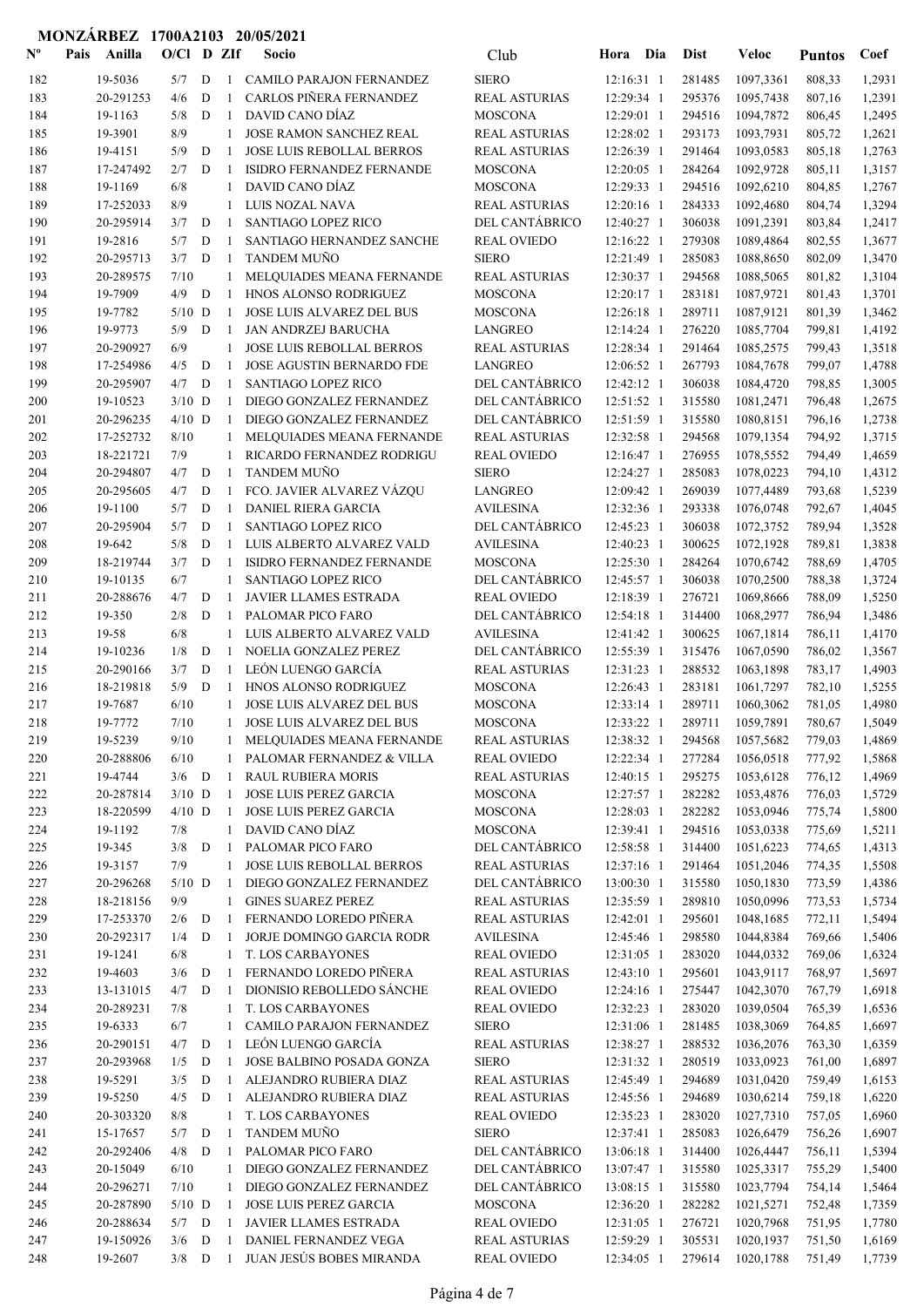| $\mathbf{N}^{\mathbf{o}}$ | Pais | Anilla                 | $O/CI$ D ZIf     |             |              | Socio                                                      | Club                                        | Hora Dia                 | <b>Dist</b>      | Veloc                  | <b>Puntos</b>    | Coef             |
|---------------------------|------|------------------------|------------------|-------------|--------------|------------------------------------------------------------|---------------------------------------------|--------------------------|------------------|------------------------|------------------|------------------|
| 182                       |      | 19-5036                | 5/7              | D           | 1            | CAMILO PARAJON FERNANDEZ                                   | <b>SIERO</b>                                | 12:16:31 1               | 281485           | 1097,3361              | 808,33           | 1,2931           |
| 183                       |      | 20-291253              | 4/6              | D           | -1           | CARLOS PIÑERA FERNANDEZ                                    | <b>REAL ASTURIAS</b>                        | 12:29:34 1               | 295376           | 1095,7438              | 807,16           | 1,2391           |
| 184                       |      | 19-1163                | 5/8              | D           | -1           | DAVID CANO DÍAZ                                            | <b>MOSCONA</b>                              | 12:29:01 1               | 294516           | 1094,7872              | 806,45           | 1,2495           |
| 185                       |      | 19-3901                | 8/9              |             | $\mathbf{1}$ | <b>JOSE RAMON SANCHEZ REAL</b>                             | <b>REAL ASTURIAS</b>                        | 12:28:02 1               | 293173           | 1093,7931              | 805,72           | 1,2621           |
| 186                       |      | 19-4151                | 5/9              | D           | $\mathbf{1}$ | <b>JOSE LUIS REBOLLAL BERROS</b>                           | <b>REAL ASTURIAS</b>                        | 12:26:39 1               | 291464           | 1093,0583              | 805,18           | 1,2763           |
| 187                       |      | 17-247492              | 2/7              | D           | -1           | ISIDRO FERNANDEZ FERNANDE                                  | <b>MOSCONA</b>                              | 12:20:05 1               | 284264           | 1092,9728              | 805,11           | 1,3157           |
| 188                       |      | 19-1169                | 6/8              |             | 1            | DAVID CANO DÍAZ                                            | <b>MOSCONA</b>                              | 12:29:33 1               | 294516           | 1092,6210              | 804,85           | 1,2767           |
| 189                       |      | 17-252033              | 8/9              |             | 1            | LUIS NOZAL NAVA                                            | <b>REAL ASTURIAS</b>                        | 12:20:16 1               | 284333           | 1092,4680              | 804,74           | 1,3294           |
| 190<br>191                |      | 20-295914<br>19-2816   | 3/7<br>5/7       | D<br>D      | -1<br>-1     | <b>SANTIAGO LOPEZ RICO</b><br>SANTIAGO HERNANDEZ SANCHE    | <b>DEL CANTÁBRICO</b><br><b>REAL OVIEDO</b> | 12:40:27 1<br>12:16:22 1 | 306038<br>279308 | 1091,2391<br>1089,4864 | 803,84           | 1,2417<br>1,3677 |
| 192                       |      | 20-295713              | 3/7              | D           | $\mathbf{1}$ | TANDEM MUÑO                                                | <b>SIERO</b>                                | 12:21:49 1               | 285083           | 1088,8650              | 802,55<br>802,09 | 1,3470           |
| 193                       |      | 20-289575              | 7/10             |             | 1            | MELQUIADES MEANA FERNANDE                                  | <b>REAL ASTURIAS</b>                        | 12:30:37 1               | 294568           | 1088,5065              | 801,82           | 1,3104           |
| 194                       |      | 19-7909                | 4/9              | D           | -1           | HNOS ALONSO RODRIGUEZ                                      | <b>MOSCONA</b>                              | 12:20:17 1               | 283181           | 1087,9721              | 801,43           | 1,3701           |
| 195                       |      | 19-7782                | $5/10$ D         |             | 1            | <b>JOSE LUIS ALVAREZ DEL BUS</b>                           | <b>MOSCONA</b>                              | 12:26:18 1               | 289711           | 1087,9121              | 801,39           | 1,3462           |
| 196                       |      | 19-9773                | 5/9              | D           | -1           | JAN ANDRZEJ BARUCHA                                        | <b>LANGREO</b>                              | 12:14:24 1               | 276220           | 1085,7704              | 799,81           | 1,4192           |
| 197                       |      | 20-290927              | 6/9              |             | $\mathbf{1}$ | JOSE LUIS REBOLLAL BERROS                                  | <b>REAL ASTURIAS</b>                        | 12:28:34 1               | 291464           | 1085,2575              | 799,43           | 1,3518           |
| 198                       |      | 17-254986              | 4/5              | D           | -1           | <b>JOSE AGUSTIN BERNARDO FDE</b>                           | <b>LANGREO</b>                              | 12:06:52 1               | 267793           | 1084,7678              | 799,07           | 1,4788           |
| 199                       |      | 20-295907              | 4/7              | D           | -1           | <b>SANTIAGO LOPEZ RICO</b>                                 | DEL CANTÁBRICO                              | 12:42:12 1               | 306038           | 1084,4720              | 798,85           | 1,3005           |
| 200                       |      | 19-10523               | $3/10$ D         |             | 1            | DIEGO GONZALEZ FERNANDEZ                                   | DEL CANTÁBRICO                              | 12:51:52 1               | 315580           | 1081,2471              | 796,48           | 1,2675           |
| 201                       |      | 20-296235              | $4/10$ D         |             | -1           | DIEGO GONZALEZ FERNANDEZ                                   | DEL CANTÁBRICO                              | 12:51:59 1               | 315580           | 1080,8151              | 796,16           | 1,2738           |
| 202                       |      | 17-252732              | 8/10             |             | 1            | MELQUIADES MEANA FERNANDE                                  | <b>REAL ASTURIAS</b>                        | 12:32:58 1               | 294568           | 1079,1354              | 794,92           | 1,3715           |
| 203                       |      | 18-221721              | 7/9              |             | 1            | RICARDO FERNANDEZ RODRIGU                                  | <b>REAL OVIEDO</b>                          | 12:16:47 1               | 276955           | 1078,5552              | 794,49           | 1,4659           |
| 204                       |      | 20-294807              | 4/7              | D           | -1           | <b>TANDEM MUNO</b>                                         | <b>SIERO</b>                                | 12:24:27 1               | 285083           | 1078,0223              | 794,10           | 1,4312           |
| 205                       |      | 20-295605              | 4/7              | D           | 1            | FCO. JAVIER ALVAREZ VÁZQU                                  | <b>LANGREO</b>                              | 12:09:42 1               | 269039           | 1077,4489              | 793,68           | 1,5239           |
| 206                       |      | 19-1100                | 5/7              | D           | -1           | <b>DANIEL RIERA GARCIA</b>                                 | <b>AVILESINA</b>                            | 12:32:36 1               | 293338           | 1076,0748              | 792,67           | 1,4045           |
| 207                       |      | 20-295904              | 5/7              | D           | 1            | <b>SANTIAGO LOPEZ RICO</b>                                 | DEL CANTÁBRICO                              | 12:45:23 1               | 306038           | 1072,3752              | 789,94           | 1,3528           |
| 208                       |      | 19-642                 | 5/8              | D           | $\mathbf{1}$ | LUIS ALBERTO ALVAREZ VALD                                  | <b>AVILESINA</b>                            | 12:40:23 1               | 300625           | 1072,1928              | 789,81           | 1,3838           |
| 209                       |      | 18-219744              | 3/7              | D           | $\mathbf{1}$ | ISIDRO FERNANDEZ FERNANDE                                  | <b>MOSCONA</b>                              | 12:25:30 1               | 284264           | 1070,6742              | 788,69           | 1,4705           |
| 210<br>211                |      | 19-10135<br>20-288676  | 6/7<br>4/7       | D           | 1<br>1       | <b>SANTIAGO LOPEZ RICO</b><br><b>JAVIER LLAMES ESTRADA</b> | DEL CANTÁBRICO<br><b>REAL OVIEDO</b>        | 12:45:57 1<br>12:18:39 1 | 306038<br>276721 | 1070,2500              | 788,38           | 1,3724           |
| 212                       |      | 19-350                 | 2/8              | D           | 1            | PALOMAR PICO FARO                                          | DEL CANTÁBRICO                              | 12:54:18 1               | 314400           | 1069,8666<br>1068,2977 | 788,09<br>786,94 | 1,5250<br>1,3486 |
| 213                       |      | 19-58                  | 6/8              |             | $\mathbf{1}$ | LUIS ALBERTO ALVAREZ VALD                                  | <b>AVILESINA</b>                            | 12:41:42 1               | 300625           | 1067,1814              | 786,11           | 1,4170           |
| 214                       |      | 19-10236               | 1/8              | D           | -1           | NOELIA GONZALEZ PEREZ                                      | DEL CANTÁBRICO                              | 12:55:39 1               | 315476           | 1067,0590              | 786,02           | 1,3567           |
| 215                       |      | 20-290166              | 3/7              | D           | 1            | LEÓN LUENGO GARCÍA                                         | <b>REAL ASTURIAS</b>                        | 12:31:23 1               | 288532           | 1063,1898              | 783,17           | 1,4903           |
| 216                       |      | 18-219818              | 5/9              | D           | $\mathbf{1}$ | HNOS ALONSO RODRIGUEZ                                      | <b>MOSCONA</b>                              | 12:26:43 1               | 283181           | 1061,7297              | 782,10           | 1,5255           |
| 217                       |      | 19-7687                | 6/10             |             | 1            | <b>JOSE LUIS ALVAREZ DEL BUS</b>                           | <b>MOSCONA</b>                              | 12:33:14 1               | 289711           | 1060,3062              | 781,05           | 1,4980           |
| 218                       |      | 19-7772                | 7/10             |             | 1            | <b>JOSE LUIS ALVAREZ DEL BUS</b>                           | <b>MOSCONA</b>                              | 12:33:22 1               | 289711           | 1059,7891              | 780,67           | 1,5049           |
| 219                       |      | 19-5239                | $9/10$           |             |              | MELQUIADES MEANA FERNANDE                                  | REAL ASTURIAS                               | 12:38:32 1               |                  | 294568 1057,5682       | 779,03           | 1,4869           |
| 220                       |      | 20-288806              | 6/10             |             | 1            | PALOMAR FERNANDEZ & VILLA                                  | <b>REAL OVIEDO</b>                          | $12:22:34$ 1             | 277284           | 1056,0518              | 777,92           | 1,5868           |
| 221                       |      | 19-4744                | $3/6$ D          |             | -1           | <b>RAUL RUBIERA MORIS</b>                                  | <b>REAL ASTURIAS</b>                        | 12:40:15 1               | 295275           | 1053,6128              | 776,12           | 1,4969           |
| 222                       |      | 20-287814              | $3/10$ D         |             | -1           | JOSE LUIS PEREZ GARCIA                                     | <b>MOSCONA</b>                              | 12:27:57 1               | 282282           | 1053,4876              | 776,03           | 1,5729           |
| 223                       |      | 18-220599              | $4/10$ D         |             | -1           | JOSE LUIS PEREZ GARCIA                                     | <b>MOSCONA</b>                              | $12:28:03$ 1             | 282282           | 1053,0946              | 775,74           | 1,5800           |
| 224                       |      | 19-1192                | 7/8              |             | 1            | DAVID CANO DÍAZ                                            | <b>MOSCONA</b>                              | 12:39:41 1               | 294516           | 1053,0338              | 775,69           | 1,5211           |
| 225                       |      | 19-345                 | 3/8              | ${\bf D}$   | -1           | PALOMAR PICO FARO                                          | DEL CANTÁBRICO                              | 12:58:58 1               | 314400           | 1051,6223              | 774,65           | 1,4313           |
| 226                       |      | 19-3157                | 7/9<br>$5/10$ D  |             | 1            | <b>JOSE LUIS REBOLLAL BERROS</b>                           | <b>REAL ASTURIAS</b>                        | 12:37:16 1               | 291464           | 1051,2046              | 774,35           | 1,5508           |
| 227<br>228                |      | 20-296268<br>18-218156 | 9/9              |             | -1<br>1      | DIEGO GONZALEZ FERNANDEZ<br><b>GINES SUAREZ PEREZ</b>      | DEL CANTÁBRICO<br><b>REAL ASTURIAS</b>      | 13:00:30 1<br>12:35:59 1 | 315580<br>289810 | 1050,1830<br>1050,0996 | 773,59<br>773,53 | 1,4386<br>1,5734 |
| 229                       |      | 17-253370              | 2/6              | D           | 1            | FERNANDO LOREDO PIÑERA                                     | <b>REAL ASTURIAS</b>                        | 12:42:01 1               | 295601           | 1048,1685              | 772,11           | 1,5494           |
| 230                       |      | 20-292317              | 1/4              | D           | -1           | JORJE DOMINGO GARCIA RODR                                  | <b>AVILESINA</b>                            | 12:45:46 1               | 298580           | 1044,8384              | 769,66           | 1,5406           |
| 231                       |      | 19-1241                | 6/8              |             | $\mathbf{1}$ | T. LOS CARBAYONES                                          | <b>REAL OVIEDO</b>                          | 12:31:05 1               | 283020           | 1044,0332              | 769,06           | 1,6324           |
| 232                       |      | 19-4603                | 3/6              | $\mathbf D$ | $\mathbf{1}$ | FERNANDO LOREDO PIÑERA                                     | <b>REAL ASTURIAS</b>                        | 12:43:10 1               | 295601           | 1043,9117              | 768,97           | 1,5697           |
| 233                       |      | 13-131015              | 4/7              | D           | -1           | DIONISIO REBOLLEDO SÁNCHE                                  | <b>REAL OVIEDO</b>                          | 12:24:16 1               | 275447           | 1042,3070              | 767,79           | 1,6918           |
| 234                       |      | 20-289231              | 7/8              |             | $\mathbf{1}$ | T. LOS CARBAYONES                                          | <b>REAL OVIEDO</b>                          | 12:32:23 1               | 283020           | 1039,0504              | 765,39           | 1,6536           |
| 235                       |      | 19-6333                | 6/7              |             | 1            | CAMILO PARAJON FERNANDEZ                                   | <b>SIERO</b>                                | 12:31:06 1               | 281485           | 1038,3069              | 764,85           | 1,6697           |
| 236                       |      | 20-290151              | 4/7              | D           | -1           | LEÓN LUENGO GARCÍA                                         | <b>REAL ASTURIAS</b>                        | 12:38:27 1               | 288532           | 1036,2076              | 763,30           | 1,6359           |
| 237                       |      | 20-293968              | 1/5              | D           | 1            | JOSE BALBINO POSADA GONZA                                  | <b>SIERO</b>                                | 12:31:32 1               | 280519           | 1033,0923              | 761,00           | 1,6897           |
| 238                       |      | 19-5291                | 3/5              | D           | 1            | ALEJANDRO RUBIERA DIAZ                                     | <b>REAL ASTURIAS</b>                        | 12:45:49 1               | 294689           | 1031,0420              | 759,49           | 1,6153           |
| 239                       |      | 19-5250                | 4/5              | D           | -1           | ALEJANDRO RUBIERA DIAZ                                     | <b>REAL ASTURIAS</b>                        | 12:45:56 1               | 294689           | 1030,6214              | 759,18           | 1,6220           |
| 240                       |      | 20-303320              | 8/8              |             | 1            | T. LOS CARBAYONES                                          | <b>REAL OVIEDO</b>                          | 12:35:23 1               | 283020           | 1027,7310              | 757,05           | 1,6960           |
| 241                       |      | 15-17657               | 5/7              | D           | $\mathbf{1}$ | <b>TANDEM MUÑO</b>                                         | <b>SIERO</b>                                | 12:37:41 1               | 285083           | 1026,6479              | 756,26           | 1,6907           |
| 242                       |      | 20-292406              | 4/8              | D           | -1           | PALOMAR PICO FARO                                          | DEL CANTÁBRICO                              | 13:06:18 1               | 314400           | 1026,4447              | 756,11           | 1,5394           |
| 243                       |      | 20-15049               | 6/10             |             | 1            | DIEGO GONZALEZ FERNANDEZ                                   | DEL CANTÁBRICO                              | 13:07:47 1               | 315580           | 1025,3317              | 755,29           | 1,5400           |
| 244                       |      | 20-296271<br>20-287890 | 7/10<br>$5/10$ D |             | 1<br>-1      | DIEGO GONZALEZ FERNANDEZ<br>JOSE LUIS PEREZ GARCIA         | DEL CANTÁBRICO<br><b>MOSCONA</b>            | 13:08:15 1<br>12:36:20 1 | 315580<br>282282 | 1023,7794<br>1021,5271 | 754,14           | 1,5464           |
| 245<br>246                |      | 20-288634              | 5/7              | D           | -1           | JAVIER LLAMES ESTRADA                                      | <b>REAL OVIEDO</b>                          | 12:31:05 1               | 276721           | 1020,7968              | 752,48<br>751,95 | 1,7359<br>1,7780 |
| 247                       |      | 19-150926              | 3/6              | D           | 1            | DANIEL FERNANDEZ VEGA                                      | <b>REAL ASTURIAS</b>                        | 12:59:29 1               | 305531           | 1020,1937              | 751,50           | 1,6169           |
| 248                       |      | 19-2607                | 3/8              | D           | $\mathbf{1}$ | JUAN JESÚS BOBES MIRANDA                                   | <b>REAL OVIEDO</b>                          | 12:34:05 1               | 279614           | 1020,1788              | 751,49           | 1,7739           |
|                           |      |                        |                  |             |              |                                                            |                                             |                          |                  |                        |                  |                  |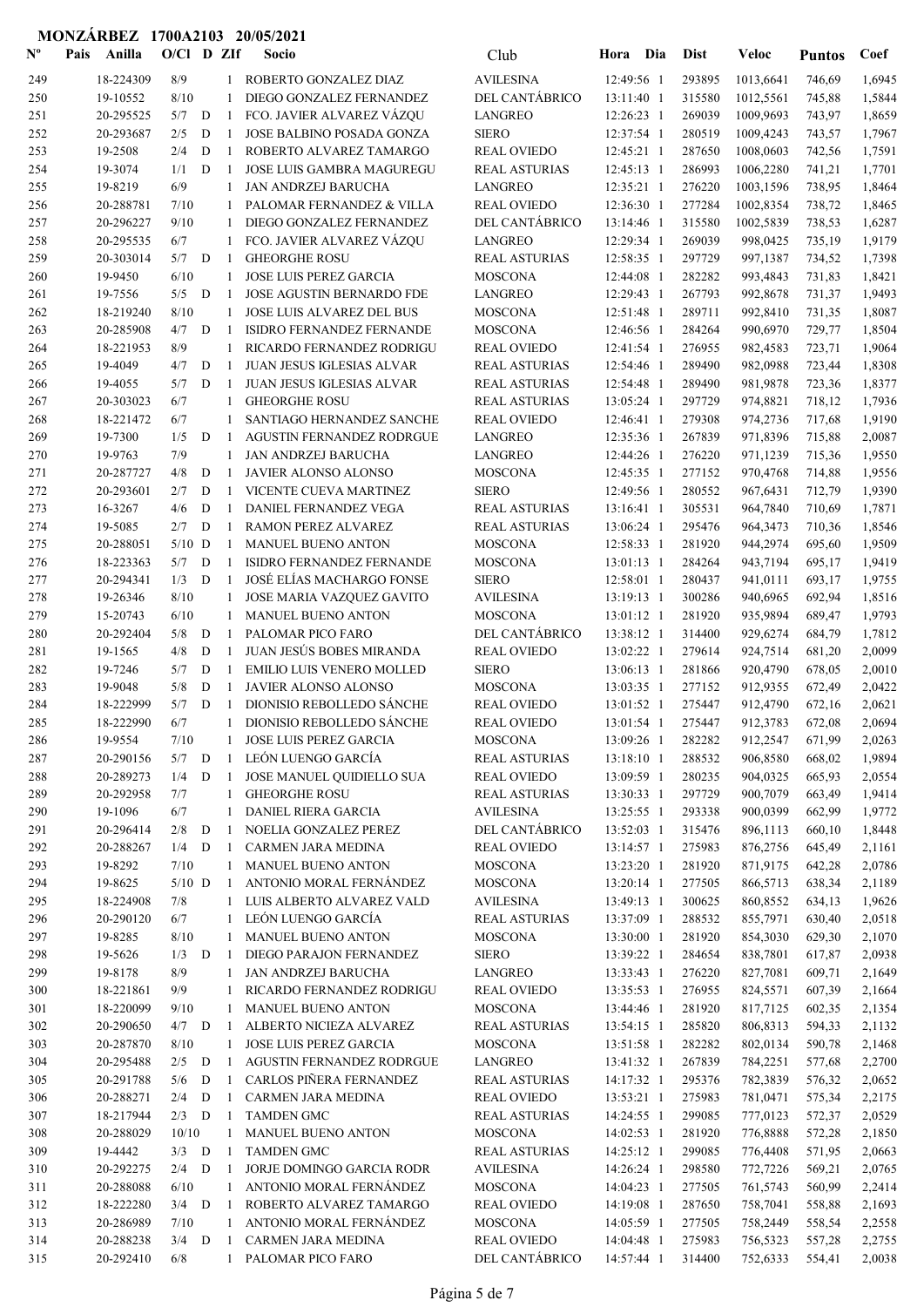| $\mathbf{N}^{\mathbf{o}}$ | Pais | Anilla                 | $O/C1$ D ZIf     |        |                     | Socio                                                    | Club                                     | Hora                     | Dia | <b>Dist</b>      | Veloc                 | <b>Puntos</b>    | Coef             |
|---------------------------|------|------------------------|------------------|--------|---------------------|----------------------------------------------------------|------------------------------------------|--------------------------|-----|------------------|-----------------------|------------------|------------------|
| 249                       |      | 18-224309              | 8/9              |        | $\mathbf{1}$        | ROBERTO GONZALEZ DIAZ                                    | <b>AVILESINA</b>                         | 12:49:56 1               |     | 293895           | 1013,6641             | 746,69           | 1,6945           |
| 250                       |      | 19-10552               | 8/10             |        | 1                   | DIEGO GONZALEZ FERNANDEZ                                 | DEL CANTÁBRICO                           | 13:11:40 1               |     | 315580           | 1012,5561             | 745,88           | 1,5844           |
| 251                       |      | 20-295525              | $5/7$ D          |        | -1                  | FCO. JAVIER ALVAREZ VÁZQU                                | <b>LANGREO</b>                           | 12:26:23 1               |     | 269039           | 1009,9693             | 743,97           | 1,8659           |
| 252                       |      | 20-293687              | 2/5              | D      | -1                  | JOSE BALBINO POSADA GONZA                                | <b>SIERO</b>                             | 12:37:54 1               |     | 280519           | 1009,4243             | 743,57           | 1,7967           |
| 253                       |      | 19-2508                | 2/4              | D      | $\mathbf{1}$        | ROBERTO ALVAREZ TAMARGO                                  | <b>REAL OVIEDO</b>                       | 12:45:21 1               |     | 287650           | 1008,0603             | 742,56           | 1,7591           |
| 254                       |      | 19-3074                | 1/1              | D      | $\mathbf{1}$        | <b>JOSE LUIS GAMBRA MAGUREGU</b>                         | <b>REAL ASTURIAS</b>                     | 12:45:13 1               |     | 286993           | 1006,2280             | 741,21           | 1,7701           |
| 255                       |      | 19-8219                | 6/9              |        | 1                   | <b>JAN ANDRZEJ BARUCHA</b>                               | <b>LANGREO</b>                           | 12:35:21 1               |     | 276220           | 1003,1596             | 738,95           | 1,8464           |
| 256                       |      | 20-288781              | 7/10             |        |                     | PALOMAR FERNANDEZ & VILLA                                | <b>REAL OVIEDO</b>                       | 12:36:30 1<br>13:14:46 1 |     | 277284           | 1002,8354             | 738,72           | 1,8465           |
| 257<br>258                |      | 20-296227<br>20-295535 | 9/10<br>6/7      |        | 1<br>1              | DIEGO GONZALEZ FERNANDEZ<br>FCO. JAVIER ALVAREZ VÁZQU    | DEL CANTÁBRICO<br><b>LANGREO</b>         | 12:29:34 1               |     | 315580<br>269039 | 1002,5839<br>998,0425 | 738,53<br>735,19 | 1,6287<br>1,9179 |
| 259                       |      | 20-303014              | 5/7              | D      | -1                  | <b>GHEORGHE ROSU</b>                                     | <b>REAL ASTURIAS</b>                     | 12:58:35 1               |     | 297729           | 997,1387              | 734,52           | 1,7398           |
| 260                       |      | 19-9450                | 6/10             |        | $\mathbf{1}$        | JOSE LUIS PEREZ GARCIA                                   | <b>MOSCONA</b>                           | 12:44:08 1               |     | 282282           | 993,4843              | 731,83           | 1,8421           |
| 261                       |      | 19-7556                | 5/5              | D      | -1                  | <b>JOSE AGUSTIN BERNARDO FDE</b>                         | <b>LANGREO</b>                           | 12:29:43 1               |     | 267793           | 992,8678              | 731,37           | 1,9493           |
| 262                       |      | 18-219240              | 8/10             |        | 1                   | JOSE LUIS ALVAREZ DEL BUS                                | <b>MOSCONA</b>                           | 12:51:48 1               |     | 289711           | 992,8410              | 731,35           | 1,8087           |
| 263                       |      | 20-285908              | 4/7              | D      | -1                  | ISIDRO FERNANDEZ FERNANDE                                | <b>MOSCONA</b>                           | 12:46:56 1               |     | 284264           | 990,6970              | 729,77           | 1,8504           |
| 264                       |      | 18-221953              | 8/9              |        | 1                   | RICARDO FERNANDEZ RODRIGU                                | <b>REAL OVIEDO</b>                       | 12:41:54 1               |     | 276955           | 982,4583              | 723,71           | 1,9064           |
| 265                       |      | 19-4049                | 4/7              | D      | $\overline{1}$      | JUAN JESUS IGLESIAS ALVAR                                | <b>REAL ASTURIAS</b>                     | 12:54:46 1               |     | 289490           | 982,0988              | 723,44           | 1,8308           |
| 266                       |      | 19-4055                | 5/7              | D      | $\mathbf{1}$        | <b>JUAN JESUS IGLESIAS ALVAR</b>                         | <b>REAL ASTURIAS</b>                     | 12:54:48 1               |     | 289490           | 981,9878              | 723,36           | 1,8377           |
| 267                       |      | 20-303023              | 6/7              |        | 1                   | <b>GHEORGHE ROSU</b>                                     | <b>REAL ASTURIAS</b>                     | 13:05:24 1               |     | 297729           | 974,8821              | 718,12           | 1,7936           |
| 268                       |      | 18-221472              | 6/7              |        | 1                   | SANTIAGO HERNANDEZ SANCHE                                | <b>REAL OVIEDO</b>                       | 12:46:41 1               |     | 279308           | 974,2736              | 717,68           | 1,9190           |
| 269<br>270                |      | 19-7300<br>19-9763     | 1/5<br>7/9       | D      | $\overline{1}$<br>1 | <b>AGUSTIN FERNANDEZ RODRGUE</b><br>JAN ANDRZEJ BARUCHA  | <b>LANGREO</b><br>LANGREO                | 12:35:36 1<br>12:44:26 1 |     | 267839<br>276220 | 971,8396<br>971,1239  | 715,88<br>715,36 | 2,0087<br>1,9550 |
| 271                       |      | 20-287727              | 4/8              | D      | -1                  | JAVIER ALONSO ALONSO                                     | <b>MOSCONA</b>                           | 12:45:35 1               |     | 277152           | 970,4768              | 714,88           | 1,9556           |
| 272                       |      | 20-293601              | 2/7              | D      | 1                   | VICENTE CUEVA MARTINEZ                                   | <b>SIERO</b>                             | 12:49:56 1               |     | 280552           | 967,6431              | 712,79           | 1,9390           |
| 273                       |      | 16-3267                | 4/6              | D      | -1                  | DANIEL FERNANDEZ VEGA                                    | <b>REAL ASTURIAS</b>                     | $13:16:41$ 1             |     | 305531           | 964,7840              | 710,69           | 1,7871           |
| 274                       |      | 19-5085                | 2/7              | D      | -1                  | RAMON PEREZ ALVAREZ                                      | <b>REAL ASTURIAS</b>                     | 13:06:24 1               |     | 295476           | 964,3473              | 710,36           | 1,8546           |
| 275                       |      | 20-288051              | $5/10$ D         |        | -1                  | MANUEL BUENO ANTON                                       | <b>MOSCONA</b>                           | 12:58:33 1               |     | 281920           | 944,2974              | 695,60           | 1,9509           |
| 276                       |      | 18-223363              | 5/7              | D      | -1                  | ISIDRO FERNANDEZ FERNANDE                                | <b>MOSCONA</b>                           | 13:01:13 1               |     | 284264           | 943,7194              | 695,17           | 1,9419           |
| 277                       |      | 20-294341              | $1/3$ D          |        | $\overline{1}$      | JOSÉ ELÍAS MACHARGO FONSE                                | <b>SIERO</b>                             | 12:58:01 1               |     | 280437           | 941,0111              | 693,17           | 1,9755           |
| 278                       |      | 19-26346               | 8/10             |        | 1                   | JOSE MARIA VAZQUEZ GAVITO                                | <b>AVILESINA</b>                         | 13:19:13 1               |     | 300286           | 940,6965              | 692,94           | 1,8516           |
| 279                       |      | 15-20743               | 6/10             |        | 1                   | <b>MANUEL BUENO ANTON</b>                                | <b>MOSCONA</b>                           | 13:01:12 1               |     | 281920           | 935,9894              | 689,47           | 1,9793           |
| 280                       |      | 20-292404              | 5/8              | D      | -1                  | PALOMAR PICO FARO                                        | DEL CANTÁBRICO                           | 13:38:12 1               |     | 314400           | 929,6274              | 684,79           | 1,7812           |
| 281                       |      | 19-1565                | 4/8              | D      | $\mathbf{1}$        | <b>JUAN JESÚS BOBES MIRANDA</b>                          | <b>REAL OVIEDO</b>                       | 13:02:22 1               |     | 279614           | 924,7514              | 681,20           | 2,0099           |
| 282                       |      | 19-7246                | 5/7              | D      | $\mathbf{1}$        | <b>EMILIO LUIS VENERO MOLLED</b>                         | <b>SIERO</b>                             | 13:06:13 1               |     | 281866           | 920,4790              | 678,05           | 2,0010           |
| 283<br>284                |      | 19-9048<br>18-222999   | 5/8<br>5/7       | D<br>D | -1<br>$\mathbf{1}$  | JAVIER ALONSO ALONSO<br><b>DIONISIO REBOLLEDO SÁNCHE</b> | <b>MOSCONA</b><br><b>REAL OVIEDO</b>     | 13:03:35 1<br>13:01:52 1 |     | 277152<br>275447 | 912,9355<br>912,4790  | 672,49<br>672,16 | 2,0422<br>2,0621 |
| 285                       |      | 18-222990              | 6/7              |        | 1                   | DIONISIO REBOLLEDO SÁNCHE                                | <b>REAL OVIEDO</b>                       | 13:01:54 1               |     | 275447           | 912,3783              | 672,08           | 2,0694           |
| 286                       |      | 19-9554                | $7/10$           |        |                     | 1 JOSE LUIS PEREZ GARCIA                                 | <b>MOSCONA</b>                           | 13:09:26 1               |     | 282282           | 912,2547              | 671,99           | 2,0263           |
| 287                       |      | 20-290156              | $5/7$ D          |        | -1                  | LEÓN LUENGO GARCÍA                                       | <b>REAL ASTURIAS</b>                     | $13:18:10$ 1             |     | 288532           | 906,8580              | 668,02           | 1,9894           |
| 288                       |      | 20-289273              | $1/4$ D          |        | -1                  | JOSE MANUEL QUIDIELLO SUA                                | <b>REAL OVIEDO</b>                       | 13:09:59 1               |     | 280235           | 904,0325              | 665,93           | 2,0554           |
| 289                       |      | 20-292958              | 7/7              |        | 1                   | <b>GHEORGHE ROSU</b>                                     | <b>REAL ASTURIAS</b>                     | 13:30:33 1               |     | 297729           | 900,7079              | 663,49           | 1,9414           |
| 290                       |      | 19-1096                | 6/7              |        | $\mathbf{1}$        | DANIEL RIERA GARCIA                                      | <b>AVILESINA</b>                         | 13:25:55 1               |     | 293338           | 900,0399              | 662,99           | 1,9772           |
| 291                       |      | 20-296414              | $2/8$ D          |        | -1                  | NOELIA GONZALEZ PEREZ                                    | DEL CANTÁBRICO                           | 13:52:03 1               |     | 315476           | 896,1113              | 660,10           | 1,8448           |
| 292                       |      | 20-288267              | 1/4              | D      | -1                  | CARMEN JARA MEDINA                                       | <b>REAL OVIEDO</b>                       | 13:14:57 1               |     | 275983           | 876,2756              | 645,49           | 2,1161           |
| 293                       |      | 19-8292                | 7/10             |        | 1                   | MANUEL BUENO ANTON                                       | <b>MOSCONA</b>                           | 13:23:20 1               |     | 281920           | 871,9175              | 642,28           | 2,0786           |
| 294                       |      | 19-8625                | $5/10$ D         |        | 1                   | ANTONIO MORAL FERNÁNDEZ                                  | <b>MOSCONA</b>                           | 13:20:14 1               |     | 277505           | 866,5713              | 638,34           | 2,1189           |
| 295                       |      | 18-224908<br>20-290120 | 7/8<br>6/7       |        | $\mathbf{1}$        | 1 LUIS ALBERTO ALVAREZ VALD<br>LEÓN LUENGO GARCÍA        | <b>AVILESINA</b><br><b>REAL ASTURIAS</b> | 13:49:13 1               |     | 300625<br>288532 | 860,8552<br>855,7971  | 634,13           | 1,9626           |
| 296<br>297                |      | 19-8285                | 8/10             |        | $\mathbf{1}$        | MANUEL BUENO ANTON                                       | <b>MOSCONA</b>                           | 13:37:09 1<br>13:30:00 1 |     | 281920           | 854,3030              | 630,40<br>629,30 | 2,0518<br>2,1070 |
| 298                       |      | 19-5626                | $1/3$ D          |        | -1                  | DIEGO PARAJON FERNANDEZ                                  | <b>SIERO</b>                             | 13:39:22 1               |     | 284654           | 838,7801              | 617,87           | 2,0938           |
| 299                       |      | 19-8178                | $8/9$            |        | 1                   | JAN ANDRZEJ BARUCHA                                      | <b>LANGREO</b>                           | 13:33:43 1               |     | 276220           | 827,7081              | 609,71           | 2,1649           |
| 300                       |      | 18-221861              | 9/9              |        | 1                   | RICARDO FERNANDEZ RODRIGU                                | <b>REAL OVIEDO</b>                       | 13:35:53 1               |     | 276955           | 824,5571              | 607,39           | 2,1664           |
| 301                       |      | 18-220099              | 9/10             |        | 1                   | MANUEL BUENO ANTON                                       | <b>MOSCONA</b>                           | 13:44:46 1               |     | 281920           | 817,7125              | 602,35           | 2,1354           |
| 302                       |      | 20-290650              | $4/7$ D          |        | -1                  | ALBERTO NICIEZA ALVAREZ                                  | <b>REAL ASTURIAS</b>                     | 13:54:15 1               |     | 285820           | 806,8313              | 594,33           | 2,1132           |
| 303                       |      | 20-287870              | 8/10             |        | 1                   | JOSE LUIS PEREZ GARCIA                                   | <b>MOSCONA</b>                           | 13:51:58 1               |     | 282282           | 802,0134              | 590,78           | 2,1468           |
| 304                       |      | 20-295488              | $2/5$ D          |        | -1                  | AGUSTIN FERNANDEZ RODRGUE                                | LANGREO                                  | 13:41:32 1               |     | 267839           | 784,2251              | 577,68           | 2,2700           |
| 305                       |      | 20-291788              | 5/6              | D      | -1                  | CARLOS PIÑERA FERNANDEZ                                  | <b>REAL ASTURIAS</b>                     | 14:17:32 1               |     | 295376           | 782,3839              | 576,32           | 2,0652           |
| 306                       |      | 20-288271              | $2/4$ D          |        | -1                  | CARMEN JARA MEDINA                                       | <b>REAL OVIEDO</b>                       | 13:53:21 1               |     | 275983           | 781,0471              | 575,34           | 2,2175           |
| 307                       |      | 18-217944              | $2/3$ D          |        | -1                  | <b>TAMDEN GMC</b>                                        | <b>REAL ASTURIAS</b>                     | 14:24:55 1               |     | 299085           | 777,0123              | 572,37           | 2,0529           |
| 308<br>309                |      | 20-288029<br>19-4442   | 10/10<br>$3/3$ D |        | $\mathbf{1}$<br>-1  | MANUEL BUENO ANTON<br><b>TAMDEN GMC</b>                  | <b>MOSCONA</b><br><b>REAL ASTURIAS</b>   | 14:02:53 1<br>14:25:12 1 |     | 281920<br>299085 | 776,8888<br>776,4408  | 572,28<br>571,95 | 2,1850<br>2,0663 |
| 310                       |      | 20-292275              | $2/4$ D          |        | -1                  | JORJE DOMINGO GARCIA RODR                                | <b>AVILESINA</b>                         | 14:26:24 1               |     | 298580           | 772,7226              | 569,21           | 2,0765           |
| 311                       |      | 20-288088              | 6/10             |        | 1                   | ANTONIO MORAL FERNÁNDEZ                                  | <b>MOSCONA</b>                           | 14:04:23 1               |     | 277505           | 761,5743              | 560,99           | 2,2414           |
| 312                       |      | 18-222280              | $3/4$ D          |        | -1                  | ROBERTO ALVAREZ TAMARGO                                  | <b>REAL OVIEDO</b>                       | 14:19:08 1               |     | 287650           | 758,7041              | 558,88           | 2,1693           |
| 313                       |      | 20-286989              | 7/10             |        | 1                   | ANTONIO MORAL FERNÁNDEZ                                  | <b>MOSCONA</b>                           | 14:05:59 1               |     | 277505           | 758,2449              | 558,54           | 2,2558           |
| 314                       |      | 20-288238              | $3/4$ D          |        | - 1                 | CARMEN JARA MEDINA                                       | <b>REAL OVIEDO</b>                       | 14:04:48 1               |     | 275983           | 756,5323              | 557,28           | 2,2755           |
| 315                       |      | 20-292410              | 6/8              |        | $\mathbf{1}$        | PALOMAR PICO FARO                                        | DEL CANTÁBRICO                           | 14:57:44 1               |     | 314400           | 752,6333              | 554,41           | 2,0038           |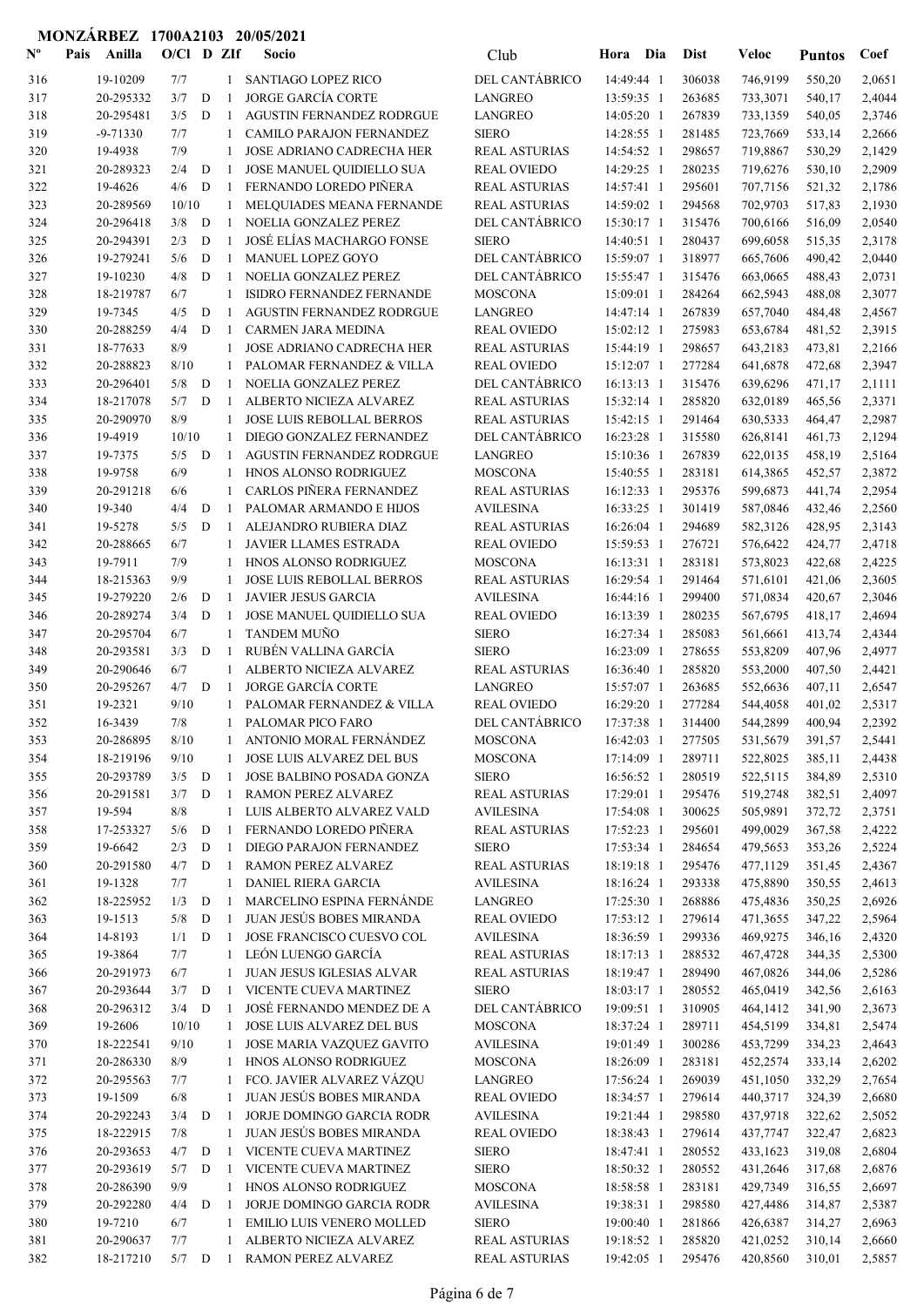| $\mathbf{N}^{\mathbf{o}}$ | Anilla<br>Pais | $O/Cl$ D ZIf |   |              | Socio                            | Club                 | Hora Dia     | <b>Dist</b> | Veloc    | <b>Puntos</b> | Coef   |
|---------------------------|----------------|--------------|---|--------------|----------------------------------|----------------------|--------------|-------------|----------|---------------|--------|
| 316                       | 19-10209       | 7/7          |   | 1            | <b>SANTIAGO LOPEZ RICO</b>       | DEL CANTÁBRICO       | 14:49:44 1   | 306038      | 746,9199 | 550,20        | 2,0651 |
| 317                       | 20-295332      | 3/7          | D | $\mathbf{1}$ | <b>JORGE GARCÍA CORTE</b>        | <b>LANGREO</b>       | 13:59:35 1   | 263685      | 733,3071 | 540,17        | 2,4044 |
| 318                       | 20-295481      | 3/5          | D | $\mathbf{1}$ | <b>AGUSTIN FERNANDEZ RODRGUE</b> | <b>LANGREO</b>       | 14:05:20 1   | 267839      | 733,1359 | 540,05        | 2,3746 |
| 319                       | $-9 - 71330$   | 7/7          |   | 1            | CAMILO PARAJON FERNANDEZ         | <b>SIERO</b>         | 14:28:55 1   | 281485      | 723,7669 | 533,14        | 2,2666 |
| 320                       | 19-4938        | 7/9          |   | $\mathbf{1}$ | <b>JOSE ADRIANO CADRECHA HER</b> | <b>REAL ASTURIAS</b> | 14:54:52 1   | 298657      | 719,8867 | 530,29        | 2,1429 |
| 321                       | 20-289323      | 2/4          | D | -1           | JOSE MANUEL QUIDIELLO SUA        | <b>REAL OVIEDO</b>   | 14:29:25 1   | 280235      | 719,6276 | 530,10        | 2,2909 |
| 322                       | 19-4626        | 4/6          | D | -1           | FERNANDO LOREDO PIÑERA           | <b>REAL ASTURIAS</b> | 14:57:41 1   | 295601      | 707,7156 | 521,32        | 2,1786 |
| 323                       | 20-289569      | 10/10        |   | 1            | MELQUIADES MEANA FERNANDE        | <b>REAL ASTURIAS</b> | 14:59:02 1   | 294568      | 702,9703 | 517,83        | 2,1930 |
| 324                       | 20-296418      | 3/8          | D | -1           | NOELIA GONZALEZ PEREZ            | DEL CANTÁBRICO       | 15:30:17 1   | 315476      | 700,6166 | 516,09        | 2,0540 |
| 325                       | 20-294391      | 2/3          | D | -1           | JOSÉ ELÍAS MACHARGO FONSE        | <b>SIERO</b>         | 14:40:51 1   | 280437      | 699,6058 | 515,35        | 2,3178 |
| 326                       | 19-279241      | 5/6          | D | 1            | <b>MANUEL LOPEZ GOYO</b>         | DEL CANTÁBRICO       | 15:59:07 1   | 318977      | 665,7606 | 490,42        | 2,0440 |
| 327                       | 19-10230       | 4/8          | D | $\mathbf{1}$ | NOELIA GONZALEZ PEREZ            | DEL CANTÁBRICO       | 15:55:47 1   | 315476      | 663,0665 | 488,43        | 2,0731 |
| 328                       | 18-219787      | 6/7          |   | 1            | ISIDRO FERNANDEZ FERNANDE        | <b>MOSCONA</b>       | 15:09:01 1   | 284264      | 662,5943 | 488,08        | 2,3077 |
| 329                       | 19-7345        | 4/5          | D | $\mathbf{1}$ | AGUSTIN FERNANDEZ RODRGUE        | <b>LANGREO</b>       | 14:47:14 1   | 267839      | 657,7040 | 484,48        | 2,4567 |
| 330                       | 20-288259      | 4/4          | D | 1            | <b>CARMEN JARA MEDINA</b>        | <b>REAL OVIEDO</b>   | 15:02:12 1   | 275983      | 653,6784 | 481,52        | 2,3915 |
| 331                       | 18-77633       | 8/9          |   | 1            | JOSE ADRIANO CADRECHA HER        | <b>REAL ASTURIAS</b> | 15:44:19 1   | 298657      | 643,2183 | 473,81        | 2,2166 |
| 332                       | 20-288823      | 8/10         |   | $\mathbf{1}$ | PALOMAR FERNANDEZ & VILLA        | <b>REAL OVIEDO</b>   | 15:12:07 1   | 277284      | 641,6878 | 472,68        | 2,3947 |
| 333                       | 20-296401      | 5/8          | D | $\mathbf{1}$ | NOELIA GONZALEZ PEREZ            | DEL CANTÁBRICO       | $16:13:13$ 1 | 315476      | 639,6296 | 471,17        | 2,1111 |
| 334                       | 18-217078      | 5/7          | D | -1           | ALBERTO NICIEZA ALVAREZ          | <b>REAL ASTURIAS</b> | 15:32:14 1   | 285820      | 632,0189 | 465,56        | 2,3371 |
| 335                       | 20-290970      | 8/9          |   | 1            | <b>JOSE LUIS REBOLLAL BERROS</b> | <b>REAL ASTURIAS</b> | 15:42:15 1   | 291464      | 630,5333 | 464,47        | 2,2987 |
| 336                       | 19-4919        | 10/10        |   | 1            | DIEGO GONZALEZ FERNANDEZ         | DEL CANTÁBRICO       | 16:23:28 1   | 315580      | 626,8141 | 461,73        | 2,1294 |
| 337                       | 19-7375        | 5/5          | D | -1           | <b>AGUSTIN FERNANDEZ RODRGUE</b> | <b>LANGREO</b>       | 15:10:36 1   | 267839      | 622,0135 | 458,19        | 2,5164 |
| 338                       | 19-9758        | 6/9          |   | 1            | HNOS ALONSO RODRIGUEZ            | <b>MOSCONA</b>       | 15:40:55 1   | 283181      | 614,3865 | 452,57        | 2,3872 |
| 339                       | 20-291218      | 6/6          |   | $\mathbf{1}$ | CARLOS PIÑERA FERNANDEZ          | <b>REAL ASTURIAS</b> | 16:12:33 1   | 295376      | 599,6873 | 441,74        | 2,2954 |
| 340                       | 19-340         | 4/4          | D | 1            | PALOMAR ARMANDO E HIJOS          | <b>AVILESINA</b>     | 16:33:25 1   | 301419      | 587,0846 | 432,46        | 2,2560 |
| 341                       | 19-5278        | 5/5          | D | 1            | ALEJANDRO RUBIERA DIAZ           | <b>REAL ASTURIAS</b> | 16:26:04 1   | 294689      | 582,3126 | 428,95        | 2,3143 |
| 342                       | 20-288665      | 6/7          |   | 1            | JAVIER LLAMES ESTRADA            | <b>REAL OVIEDO</b>   | 15:59:53 1   | 276721      | 576,6422 | 424,77        | 2,4718 |
| 343                       | 19-7911        | 7/9          |   | 1            | HNOS ALONSO RODRIGUEZ            | <b>MOSCONA</b>       | 16:13:31 1   | 283181      | 573,8023 | 422,68        | 2,4225 |
| 344                       | 18-215363      | 9/9          |   | $\mathbf{1}$ | JOSE LUIS REBOLLAL BERROS        | <b>REAL ASTURIAS</b> | 16:29:54 1   | 291464      | 571,6101 | 421,06        | 2,3605 |
| 345                       | 19-279220      | 2/6          | D | $\mathbf{1}$ | <b>JAVIER JESUS GARCIA</b>       | <b>AVILESINA</b>     | 16:44:16 1   | 299400      | 571,0834 | 420,67        | 2,3046 |
| 346                       | 20-289274      | 3/4          | D | -1           | JOSE MANUEL QUIDIELLO SUA        | <b>REAL OVIEDO</b>   | 16:13:39 1   | 280235      | 567,6795 | 418,17        | 2,4694 |
| 347                       | 20-295704      | 6/7          |   | 1            | TANDEM MUÑO                      | <b>SIERO</b>         | 16:27:34 1   | 285083      | 561,6661 | 413,74        | 2,4344 |
| 348                       | 20-293581      | 3/3          | D | -1           | RUBÉN VALLINA GARCÍA             | <b>SIERO</b>         | 16:23:09 1   | 278655      | 553,8209 | 407,96        | 2,4977 |
| 349                       | 20-290646      | 6/7          |   | 1            | ALBERTO NICIEZA ALVAREZ          | <b>REAL ASTURIAS</b> | 16:36:40 1   | 285820      | 553,2000 | 407,50        | 2,4421 |
| 350                       | 20-295267      | 4/7          | D | -1           | <b>JORGE GARCÍA CORTE</b>        | <b>LANGREO</b>       | 15:57:07 1   | 263685      | 552,6636 | 407,11        | 2,6547 |
| 351                       | 19-2321        | 9/10         |   |              | PALOMAR FERNANDEZ & VILLA        | <b>REAL OVIEDO</b>   | 16:29:20 1   | 277284      | 544,4058 | 401,02        | 2,5317 |
| 352                       | 16-3439        | 7/8          |   | 1            | PALOMAR PICO FARO                | DEL CANTÁBRICO       | 17:37:38 1   | 314400      | 544,2899 | 400,94        | 2,2392 |
| 353                       | 20-286895      | 8/10         |   |              | ANTONIO MORAL FERNÁNDEZ          | <b>MOSCONA</b>       | 16:42:03 1   | 277505      | 531,5679 | 391,57        | 2,5441 |
| 354                       | 18-219196      | 9/10         |   | 1            | JOSE LUIS ALVAREZ DEL BUS        | <b>MOSCONA</b>       | 17:14:09 1   | 289711      | 522,8025 | 385,11        | 2,4438 |
| 355                       | 20-293789      | 3/5          | D | 1            | JOSE BALBINO POSADA GONZA        | <b>SIERO</b>         | 16:56:52 1   | 280519      | 522,5115 | 384,89        | 2,5310 |
| 356                       | 20-291581      | 3/7          | D | -1           | RAMON PEREZ ALVAREZ              | REAL ASTURIAS        | 17:29:01 1   | 295476      | 519,2748 | 382,51        | 2,4097 |
| 357                       | 19-594         | 8/8          |   | 1            | LUIS ALBERTO ALVAREZ VALD        | <b>AVILESINA</b>     | 17:54:08 1   | 300625      | 505,9891 | 372,72        | 2,3751 |
| 358                       | 17-253327      | 5/6          | D | 1            | FERNANDO LOREDO PIÑERA           | <b>REAL ASTURIAS</b> | 17:52:23 1   | 295601      | 499,0029 | 367,58        | 2,4222 |
| 359                       | 19-6642        | 2/3          | D | 1            | DIEGO PARAJON FERNANDEZ          | <b>SIERO</b>         | 17:53:34 1   | 284654      | 479,5653 | 353,26        | 2,5224 |
| 360                       | 20-291580      | 4/7          | D | 1            | RAMON PEREZ ALVAREZ              | <b>REAL ASTURIAS</b> | 18:19:18 1   | 295476      | 477,1129 | 351,45        | 2,4367 |
| 361                       | 19-1328        | 7/7          |   | $\mathbf{1}$ | DANIEL RIERA GARCIA              | <b>AVILESINA</b>     | 18:16:24 1   | 293338      | 475,8890 | 350,55        | 2,4613 |
| 362                       | 18-225952      | 1/3          | D | -1           | MARCELINO ESPINA FERNÁNDE        | <b>LANGREO</b>       | 17:25:30 1   | 268886      | 475,4836 | 350,25        | 2,6926 |
| 363                       | 19-1513        | 5/8          | D | 1            | <b>JUAN JESÚS BOBES MIRANDA</b>  | <b>REAL OVIEDO</b>   | 17:53:12 1   | 279614      | 471,3655 | 347,22        | 2,5964 |
| 364                       | 14-8193        | 1/1          | D | 1            | JOSE FRANCISCO CUESVO COL        | <b>AVILESINA</b>     | 18:36:59 1   | 299336      | 469,9275 | 346,16        | 2,4320 |
| 365                       | 19-3864        | 7/7          |   | 1            | LEÓN LUENGO GARCÍA               | <b>REAL ASTURIAS</b> | 18:17:13 1   | 288532      | 467,4728 | 344,35        | 2,5300 |
| 366                       | 20-291973      | 6/7          |   | $\mathbf{1}$ | JUAN JESUS IGLESIAS ALVAR        | <b>REAL ASTURIAS</b> | 18:19:47 1   | 289490      | 467,0826 | 344,06        | 2,5286 |
| 367                       | 20-293644      | 3/7          | D | 1            | VICENTE CUEVA MARTINEZ           | <b>SIERO</b>         | 18:03:17 1   | 280552      | 465,0419 | 342,56        | 2,6163 |
| 368                       | 20-296312      | $3/4$ D      |   | -1           | JOSÉ FERNANDO MENDEZ DE A        | DEL CANTÁBRICO       | 19:09:51 1   | 310905      | 464,1412 | 341,90        | 2,3673 |
| 369                       | 19-2606        | 10/10        |   | 1            | JOSE LUIS ALVAREZ DEL BUS        | <b>MOSCONA</b>       | 18:37:24 1   | 289711      | 454,5199 | 334,81        | 2,5474 |
| 370                       | 18-222541      | 9/10         |   | 1            | JOSE MARIA VAZQUEZ GAVITO        | <b>AVILESINA</b>     | 19:01:49 1   | 300286      | 453,7299 | 334,23        | 2,4643 |
| 371                       | 20-286330      | 8/9          |   | 1            | HNOS ALONSO RODRIGUEZ            | <b>MOSCONA</b>       | 18:26:09 1   | 283181      | 452,2574 | 333,14        | 2,6202 |
| 372                       | 20-295563      | 7/7          |   | 1            | FCO. JAVIER ALVAREZ VÁZQU        | <b>LANGREO</b>       | 17:56:24 1   | 269039      | 451,1050 | 332,29        | 2,7654 |
| 373                       | 19-1509        | 6/8          |   | 1            | JUAN JESÚS BOBES MIRANDA         | <b>REAL OVIEDO</b>   | 18:34:57 1   | 279614      | 440,3717 | 324,39        | 2,6680 |
| 374                       | 20-292243      | 3/4          | D | -1           | JORJE DOMINGO GARCIA RODR        | <b>AVILESINA</b>     | 19:21:44 1   | 298580      | 437,9718 | 322,62        | 2,5052 |
| 375                       | 18-222915      | 7/8          |   | $\mathbf{1}$ | JUAN JESÚS BOBES MIRANDA         | <b>REAL OVIEDO</b>   | 18:38:43 1   | 279614      | 437,7747 | 322,47        | 2,6823 |
| 376                       | 20-293653      | 4/7          | D | 1            | VICENTE CUEVA MARTINEZ           | <b>SIERO</b>         | 18:47:41 1   | 280552      | 433,1623 | 319,08        | 2,6804 |
| 377                       | 20-293619      | 5/7          | D | 1            | VICENTE CUEVA MARTINEZ           | <b>SIERO</b>         | 18:50:32 1   | 280552      | 431,2646 | 317,68        | 2,6876 |
| 378                       | 20-286390      | 9/9          |   | $\mathbf{1}$ | HNOS ALONSO RODRIGUEZ            | <b>MOSCONA</b>       | 18:58:58 1   | 283181      | 429,7349 | 316,55        | 2,6697 |
| 379                       | 20-292280      | 4/4          | D | -1           | JORJE DOMINGO GARCIA RODR        | <b>AVILESINA</b>     | 19:38:31 1   | 298580      | 427,4486 | 314,87        | 2,5387 |
| 380                       | 19-7210        | 6/7          |   | 1            | EMILIO LUIS VENERO MOLLED        | <b>SIERO</b>         | 19:00:40 1   | 281866      | 426,6387 | 314,27        | 2,6963 |
| 381                       | 20-290637      | 7/7          |   | 1            | ALBERTO NICIEZA ALVAREZ          | <b>REAL ASTURIAS</b> | 19:18:52 1   | 285820      | 421,0252 | 310,14        | 2,6660 |
| 382                       | 18-217210      | $5/7$ D      |   | $\mathbf{1}$ | RAMON PEREZ ALVAREZ              | <b>REAL ASTURIAS</b> | 19:42:05 1   | 295476      | 420,8560 | 310,01        | 2,5857 |